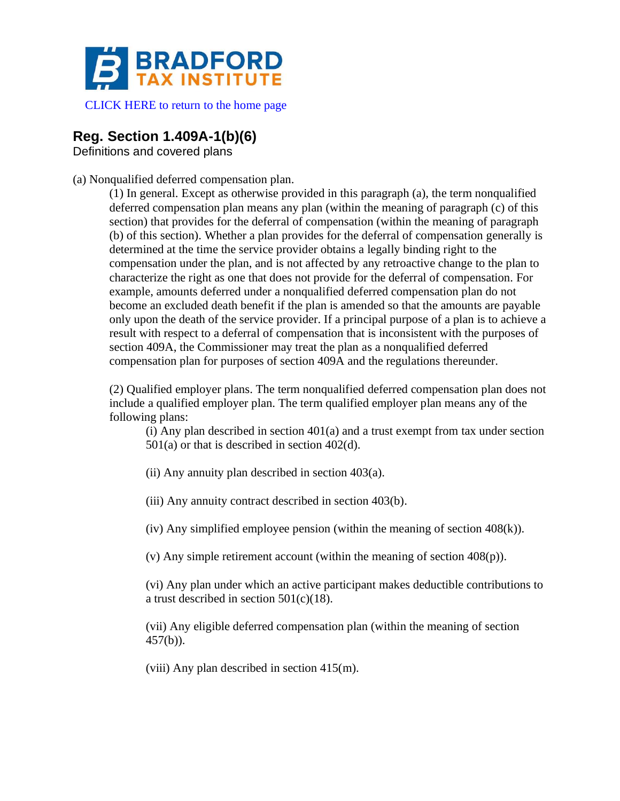

[CLICK HERE to return to the home page](http://www.bradfordtaxinstitute.com)

# **Reg. Section 1.409A-1(b)(6)**

Definitions and covered plans

(a) Nonqualified deferred compensation plan.

(1) In general. Except as otherwise provided in this paragraph (a), the term nonqualified deferred compensation plan means any plan (within the meaning of paragraph (c) of this section) that provides for the deferral of compensation (within the meaning of paragraph (b) of this section). Whether a plan provides for the deferral of compensation generally is determined at the time the service provider obtains a legally binding right to the compensation under the plan, and is not affected by any retroactive change to the plan to characterize the right as one that does not provide for the deferral of compensation. For example, amounts deferred under a nonqualified deferred compensation plan do not become an excluded death benefit if the plan is amended so that the amounts are payable only upon the death of the service provider. If a principal purpose of a plan is to achieve a result with respect to a deferral of compensation that is inconsistent with the purposes of section 409A, the Commissioner may treat the plan as a nonqualified deferred compensation plan for purposes of section 409A and the regulations thereunder.

(2) Qualified employer plans. The term nonqualified deferred compensation plan does not include a qualified employer plan. The term qualified employer plan means any of the following plans:

(i) Any plan described in section 401(a) and a trust exempt from tax under section 501(a) or that is described in section 402(d).

(ii) Any annuity plan described in section 403(a).

(iii) Any annuity contract described in section 403(b).

(iv) Any simplified employee pension (within the meaning of section 408(k)).

(v) Any simple retirement account (within the meaning of section 408(p)).

(vi) Any plan under which an active participant makes deductible contributions to a trust described in section 501(c)(18).

(vii) Any eligible deferred compensation plan (within the meaning of section 457(b)).

(viii) Any plan described in section 415(m).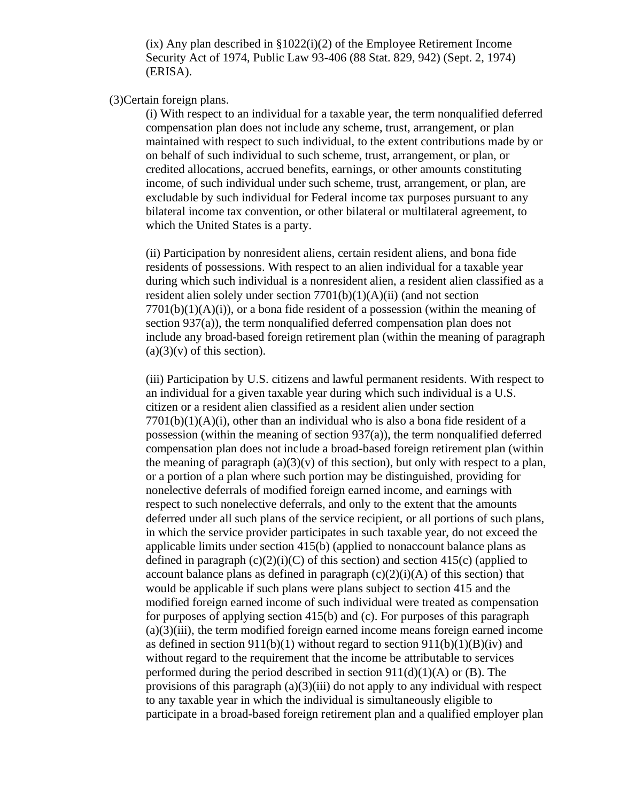(ix) Any plan described in §1022(i)(2) of the Employee Retirement Income Security Act of 1974, Public Law 93-406 (88 Stat. 829, 942) (Sept. 2, 1974) (ERISA).

### (3)Certain foreign plans.

(i) With respect to an individual for a taxable year, the term nonqualified deferred compensation plan does not include any scheme, trust, arrangement, or plan maintained with respect to such individual, to the extent contributions made by or on behalf of such individual to such scheme, trust, arrangement, or plan, or credited allocations, accrued benefits, earnings, or other amounts constituting income, of such individual under such scheme, trust, arrangement, or plan, are excludable by such individual for Federal income tax purposes pursuant to any bilateral income tax convention, or other bilateral or multilateral agreement, to which the United States is a party.

(ii) Participation by nonresident aliens, certain resident aliens, and bona fide residents of possessions. With respect to an alien individual for a taxable year during which such individual is a nonresident alien, a resident alien classified as a resident alien solely under section 7701(b)(1)(A)(ii) (and not section  $7701(b)(1)(A)(i)$ , or a bona fide resident of a possession (within the meaning of section 937(a)), the term nonqualified deferred compensation plan does not include any broad-based foreign retirement plan (within the meaning of paragraph  $(a)(3)(v)$  of this section).

(iii) Participation by U.S. citizens and lawful permanent residents. With respect to an individual for a given taxable year during which such individual is a U.S. citizen or a resident alien classified as a resident alien under section  $7701(b)(1)(A)(i)$ , other than an individual who is also a bona fide resident of a possession (within the meaning of section 937(a)), the term nonqualified deferred compensation plan does not include a broad-based foreign retirement plan (within the meaning of paragraph  $(a)(3)(v)$  of this section), but only with respect to a plan, or a portion of a plan where such portion may be distinguished, providing for nonelective deferrals of modified foreign earned income, and earnings with respect to such nonelective deferrals, and only to the extent that the amounts deferred under all such plans of the service recipient, or all portions of such plans, in which the service provider participates in such taxable year, do not exceed the applicable limits under section 415(b) (applied to nonaccount balance plans as defined in paragraph  $(c)(2)(i)(C)$  of this section) and section 415(c) (applied to account balance plans as defined in paragraph  $(c)(2)(i)(A)$  of this section) that would be applicable if such plans were plans subject to section 415 and the modified foreign earned income of such individual were treated as compensation for purposes of applying section 415(b) and (c). For purposes of this paragraph (a)(3)(iii), the term modified foreign earned income means foreign earned income as defined in section  $911(b)(1)$  without regard to section  $911(b)(1)(B)(iv)$  and without regard to the requirement that the income be attributable to services performed during the period described in section  $911(d)(1)(A)$  or (B). The provisions of this paragraph  $(a)(3)(iii)$  do not apply to any individual with respect to any taxable year in which the individual is simultaneously eligible to participate in a broad-based foreign retirement plan and a qualified employer plan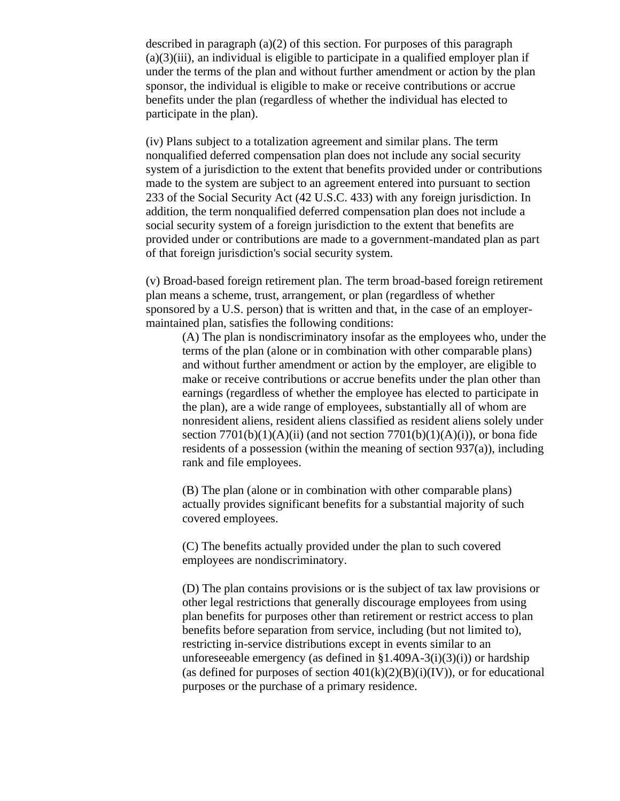described in paragraph (a)(2) of this section. For purposes of this paragraph (a)(3)(iii), an individual is eligible to participate in a qualified employer plan if under the terms of the plan and without further amendment or action by the plan sponsor, the individual is eligible to make or receive contributions or accrue benefits under the plan (regardless of whether the individual has elected to participate in the plan).

(iv) Plans subject to a totalization agreement and similar plans. The term nonqualified deferred compensation plan does not include any social security system of a jurisdiction to the extent that benefits provided under or contributions made to the system are subject to an agreement entered into pursuant to section 233 of the Social Security Act (42 U.S.C. 433) with any foreign jurisdiction. In addition, the term nonqualified deferred compensation plan does not include a social security system of a foreign jurisdiction to the extent that benefits are provided under or contributions are made to a government-mandated plan as part of that foreign jurisdiction's social security system.

(v) Broad-based foreign retirement plan. The term broad-based foreign retirement plan means a scheme, trust, arrangement, or plan (regardless of whether sponsored by a U.S. person) that is written and that, in the case of an employermaintained plan, satisfies the following conditions:

(A) The plan is nondiscriminatory insofar as the employees who, under the terms of the plan (alone or in combination with other comparable plans) and without further amendment or action by the employer, are eligible to make or receive contributions or accrue benefits under the plan other than earnings (regardless of whether the employee has elected to participate in the plan), are a wide range of employees, substantially all of whom are nonresident aliens, resident aliens classified as resident aliens solely under section  $7701(b)(1)(A)(ii)$  (and not section  $7701(b)(1)(A)(i)$ ), or bona fide residents of a possession (within the meaning of section 937(a)), including rank and file employees.

(B) The plan (alone or in combination with other comparable plans) actually provides significant benefits for a substantial majority of such covered employees.

(C) The benefits actually provided under the plan to such covered employees are nondiscriminatory.

(D) The plan contains provisions or is the subject of tax law provisions or other legal restrictions that generally discourage employees from using plan benefits for purposes other than retirement or restrict access to plan benefits before separation from service, including (but not limited to), restricting in-service distributions except in events similar to an unforeseeable emergency (as defined in  $\S1.409A-3(i)(3)(i)$ ) or hardship (as defined for purposes of section  $401(k)(2)(B)(i)(IV)$ ), or for educational purposes or the purchase of a primary residence.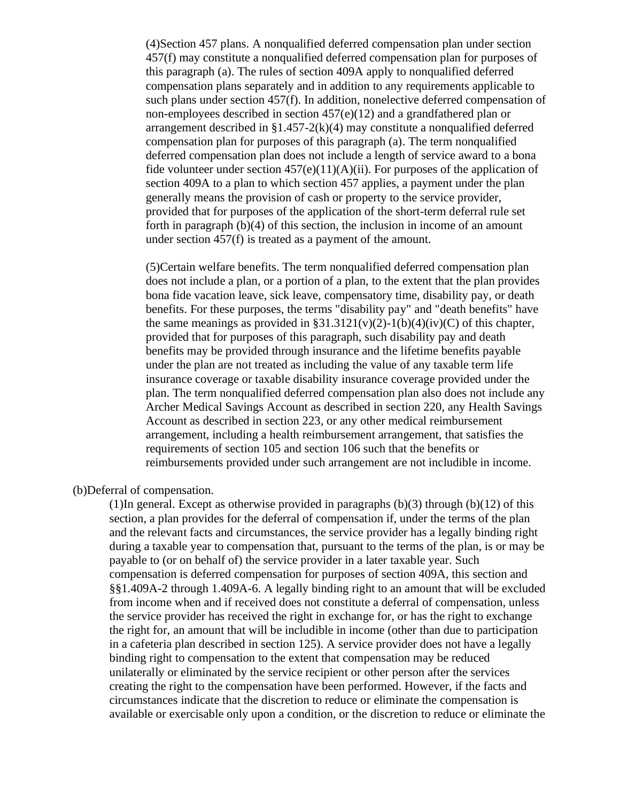(4)Section 457 plans. A nonqualified deferred compensation plan under section 457(f) may constitute a nonqualified deferred compensation plan for purposes of this paragraph (a). The rules of section 409A apply to nonqualified deferred compensation plans separately and in addition to any requirements applicable to such plans under section 457(f). In addition, nonelective deferred compensation of non-employees described in section 457(e)(12) and a grandfathered plan or arrangement described in §1.457-2(k)(4) may constitute a nonqualified deferred compensation plan for purposes of this paragraph (a). The term nonqualified deferred compensation plan does not include a length of service award to a bona fide volunteer under section  $457(e)(11)(A)(ii)$ . For purposes of the application of section 409A to a plan to which section 457 applies, a payment under the plan generally means the provision of cash or property to the service provider, provided that for purposes of the application of the short-term deferral rule set forth in paragraph (b)(4) of this section, the inclusion in income of an amount under section 457(f) is treated as a payment of the amount.

(5)Certain welfare benefits. The term nonqualified deferred compensation plan does not include a plan, or a portion of a plan, to the extent that the plan provides bona fide vacation leave, sick leave, compensatory time, disability pay, or death benefits. For these purposes, the terms "disability pay" and "death benefits" have the same meanings as provided in  $\S 31.3121(v)(2)-1(b)(4)(iv)(C)$  of this chapter, provided that for purposes of this paragraph, such disability pay and death benefits may be provided through insurance and the lifetime benefits payable under the plan are not treated as including the value of any taxable term life insurance coverage or taxable disability insurance coverage provided under the plan. The term nonqualified deferred compensation plan also does not include any Archer Medical Savings Account as described in section 220, any Health Savings Account as described in section 223, or any other medical reimbursement arrangement, including a health reimbursement arrangement, that satisfies the requirements of section 105 and section 106 such that the benefits or reimbursements provided under such arrangement are not includible in income.

(b)Deferral of compensation.

(1)In general. Except as otherwise provided in paragraphs  $(b)(3)$  through  $(b)(12)$  of this section, a plan provides for the deferral of compensation if, under the terms of the plan and the relevant facts and circumstances, the service provider has a legally binding right during a taxable year to compensation that, pursuant to the terms of the plan, is or may be payable to (or on behalf of) the service provider in a later taxable year. Such compensation is deferred compensation for purposes of section 409A, this section and §§1.409A-2 through 1.409A-6. A legally binding right to an amount that will be excluded from income when and if received does not constitute a deferral of compensation, unless the service provider has received the right in exchange for, or has the right to exchange the right for, an amount that will be includible in income (other than due to participation in a cafeteria plan described in section 125). A service provider does not have a legally binding right to compensation to the extent that compensation may be reduced unilaterally or eliminated by the service recipient or other person after the services creating the right to the compensation have been performed. However, if the facts and circumstances indicate that the discretion to reduce or eliminate the compensation is available or exercisable only upon a condition, or the discretion to reduce or eliminate the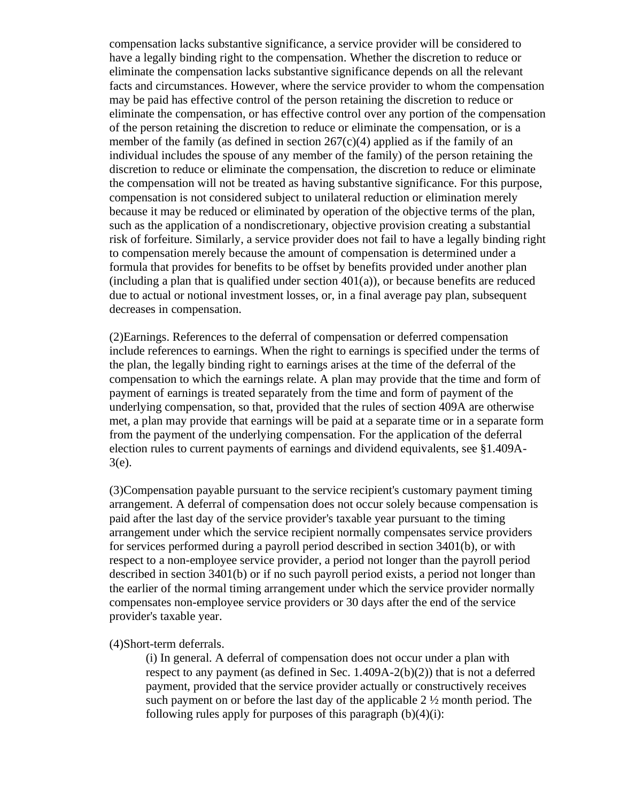compensation lacks substantive significance, a service provider will be considered to have a legally binding right to the compensation. Whether the discretion to reduce or eliminate the compensation lacks substantive significance depends on all the relevant facts and circumstances. However, where the service provider to whom the compensation may be paid has effective control of the person retaining the discretion to reduce or eliminate the compensation, or has effective control over any portion of the compensation of the person retaining the discretion to reduce or eliminate the compensation, or is a member of the family (as defined in section  $267(c)(4)$  applied as if the family of an individual includes the spouse of any member of the family) of the person retaining the discretion to reduce or eliminate the compensation, the discretion to reduce or eliminate the compensation will not be treated as having substantive significance. For this purpose, compensation is not considered subject to unilateral reduction or elimination merely because it may be reduced or eliminated by operation of the objective terms of the plan, such as the application of a nondiscretionary, objective provision creating a substantial risk of forfeiture. Similarly, a service provider does not fail to have a legally binding right to compensation merely because the amount of compensation is determined under a formula that provides for benefits to be offset by benefits provided under another plan  $(including a plan that is qualified under section 401(a))$ , or because benefits are reduced due to actual or notional investment losses, or, in a final average pay plan, subsequent decreases in compensation.

(2)Earnings. References to the deferral of compensation or deferred compensation include references to earnings. When the right to earnings is specified under the terms of the plan, the legally binding right to earnings arises at the time of the deferral of the compensation to which the earnings relate. A plan may provide that the time and form of payment of earnings is treated separately from the time and form of payment of the underlying compensation, so that, provided that the rules of section 409A are otherwise met, a plan may provide that earnings will be paid at a separate time or in a separate form from the payment of the underlying compensation. For the application of the deferral election rules to current payments of earnings and dividend equivalents, see §1.409A-3(e).

(3)Compensation payable pursuant to the service recipient's customary payment timing arrangement. A deferral of compensation does not occur solely because compensation is paid after the last day of the service provider's taxable year pursuant to the timing arrangement under which the service recipient normally compensates service providers for services performed during a payroll period described in section 3401(b), or with respect to a non-employee service provider, a period not longer than the payroll period described in section 3401(b) or if no such payroll period exists, a period not longer than the earlier of the normal timing arrangement under which the service provider normally compensates non-employee service providers or 30 days after the end of the service provider's taxable year.

#### (4)Short-term deferrals.

(i) In general. A deferral of compensation does not occur under a plan with respect to any payment (as defined in Sec. 1.409A-2(b)(2)) that is not a deferred payment, provided that the service provider actually or constructively receives such payment on or before the last day of the applicable 2 ½ month period. The following rules apply for purposes of this paragraph  $(b)(4)(i)$ :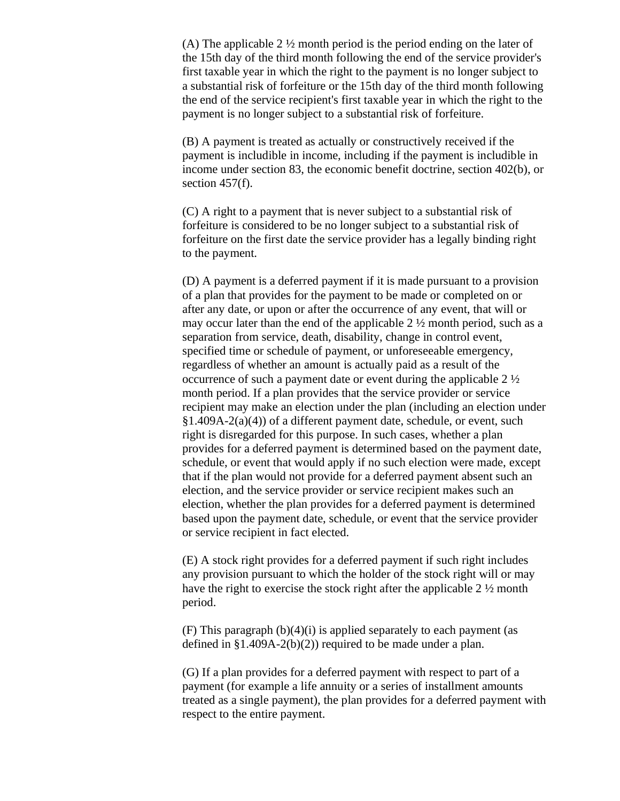(A) The applicable 2 ½ month period is the period ending on the later of the 15th day of the third month following the end of the service provider's first taxable year in which the right to the payment is no longer subject to a substantial risk of forfeiture or the 15th day of the third month following the end of the service recipient's first taxable year in which the right to the payment is no longer subject to a substantial risk of forfeiture.

(B) A payment is treated as actually or constructively received if the payment is includible in income, including if the payment is includible in income under section 83, the economic benefit doctrine, section 402(b), or section 457(f).

(C) A right to a payment that is never subject to a substantial risk of forfeiture is considered to be no longer subject to a substantial risk of forfeiture on the first date the service provider has a legally binding right to the payment.

(D) A payment is a deferred payment if it is made pursuant to a provision of a plan that provides for the payment to be made or completed on or after any date, or upon or after the occurrence of any event, that will or may occur later than the end of the applicable 2 ½ month period, such as a separation from service, death, disability, change in control event, specified time or schedule of payment, or unforeseeable emergency, regardless of whether an amount is actually paid as a result of the occurrence of such a payment date or event during the applicable 2 ½ month period. If a plan provides that the service provider or service recipient may make an election under the plan (including an election under  $§1.409A-2(a)(4)$  of a different payment date, schedule, or event, such right is disregarded for this purpose. In such cases, whether a plan provides for a deferred payment is determined based on the payment date, schedule, or event that would apply if no such election were made, except that if the plan would not provide for a deferred payment absent such an election, and the service provider or service recipient makes such an election, whether the plan provides for a deferred payment is determined based upon the payment date, schedule, or event that the service provider or service recipient in fact elected.

(E) A stock right provides for a deferred payment if such right includes any provision pursuant to which the holder of the stock right will or may have the right to exercise the stock right after the applicable 2 ½ month period.

(F) This paragraph  $(b)(4)(i)$  is applied separately to each payment (as defined in  $$1.409A-2(b)(2)$  required to be made under a plan.

(G) If a plan provides for a deferred payment with respect to part of a payment (for example a life annuity or a series of installment amounts treated as a single payment), the plan provides for a deferred payment with respect to the entire payment.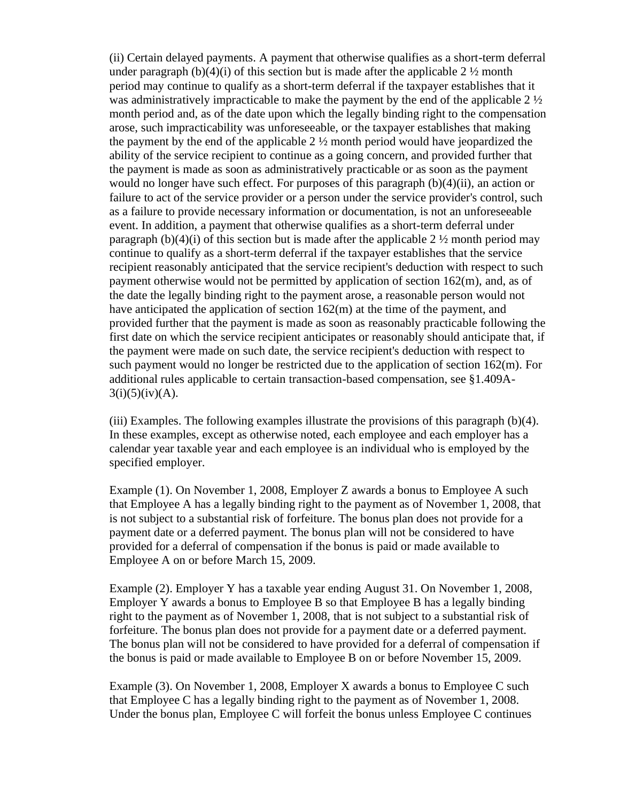(ii) Certain delayed payments. A payment that otherwise qualifies as a short-term deferral under paragraph (b)(4)(i) of this section but is made after the applicable  $2 \frac{1}{2}$  month period may continue to qualify as a short-term deferral if the taxpayer establishes that it was administratively impracticable to make the payment by the end of the applicable 2 ½ month period and, as of the date upon which the legally binding right to the compensation arose, such impracticability was unforeseeable, or the taxpayer establishes that making the payment by the end of the applicable  $2 \frac{1}{2}$  month period would have jeopardized the ability of the service recipient to continue as a going concern, and provided further that the payment is made as soon as administratively practicable or as soon as the payment would no longer have such effect. For purposes of this paragraph (b)(4)(ii), an action or failure to act of the service provider or a person under the service provider's control, such as a failure to provide necessary information or documentation, is not an unforeseeable event. In addition, a payment that otherwise qualifies as a short-term deferral under paragraph (b)(4)(i) of this section but is made after the applicable 2  $\frac{1}{2}$  month period may continue to qualify as a short-term deferral if the taxpayer establishes that the service recipient reasonably anticipated that the service recipient's deduction with respect to such payment otherwise would not be permitted by application of section 162(m), and, as of the date the legally binding right to the payment arose, a reasonable person would not have anticipated the application of section 162(m) at the time of the payment, and provided further that the payment is made as soon as reasonably practicable following the first date on which the service recipient anticipates or reasonably should anticipate that, if the payment were made on such date, the service recipient's deduction with respect to such payment would no longer be restricted due to the application of section 162(m). For additional rules applicable to certain transaction-based compensation, see §1.409A- $3(i)(5)(iv)(A)$ .

(iii) Examples. The following examples illustrate the provisions of this paragraph (b)(4). In these examples, except as otherwise noted, each employee and each employer has a calendar year taxable year and each employee is an individual who is employed by the specified employer.

Example (1). On November 1, 2008, Employer Z awards a bonus to Employee A such that Employee A has a legally binding right to the payment as of November 1, 2008, that is not subject to a substantial risk of forfeiture. The bonus plan does not provide for a payment date or a deferred payment. The bonus plan will not be considered to have provided for a deferral of compensation if the bonus is paid or made available to Employee A on or before March 15, 2009.

Example (2). Employer Y has a taxable year ending August 31. On November 1, 2008, Employer Y awards a bonus to Employee B so that Employee B has a legally binding right to the payment as of November 1, 2008, that is not subject to a substantial risk of forfeiture. The bonus plan does not provide for a payment date or a deferred payment. The bonus plan will not be considered to have provided for a deferral of compensation if the bonus is paid or made available to Employee B on or before November 15, 2009.

Example (3). On November 1, 2008, Employer X awards a bonus to Employee C such that Employee C has a legally binding right to the payment as of November 1, 2008. Under the bonus plan, Employee C will forfeit the bonus unless Employee C continues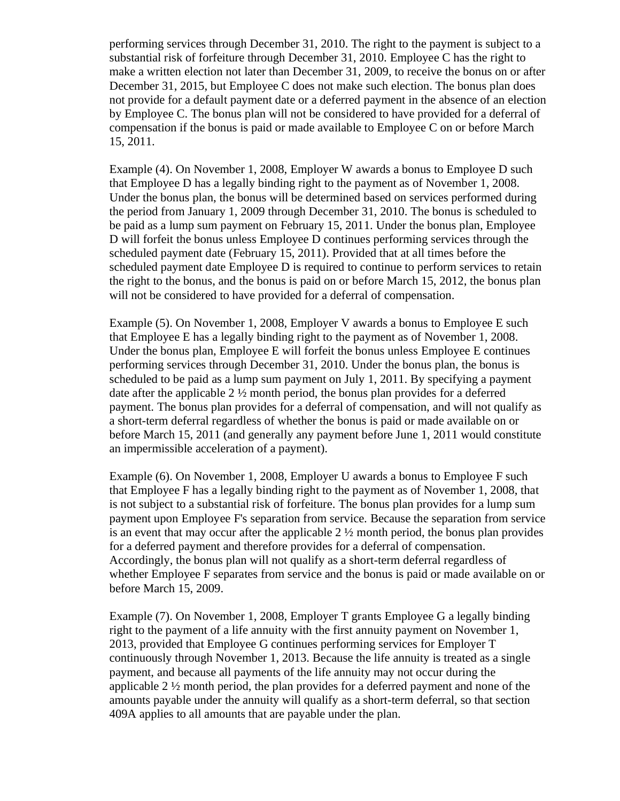performing services through December 31, 2010. The right to the payment is subject to a substantial risk of forfeiture through December 31, 2010. Employee C has the right to make a written election not later than December 31, 2009, to receive the bonus on or after December 31, 2015, but Employee C does not make such election. The bonus plan does not provide for a default payment date or a deferred payment in the absence of an election by Employee C. The bonus plan will not be considered to have provided for a deferral of compensation if the bonus is paid or made available to Employee C on or before March 15, 2011.

Example (4). On November 1, 2008, Employer W awards a bonus to Employee D such that Employee D has a legally binding right to the payment as of November 1, 2008. Under the bonus plan, the bonus will be determined based on services performed during the period from January 1, 2009 through December 31, 2010. The bonus is scheduled to be paid as a lump sum payment on February 15, 2011. Under the bonus plan, Employee D will forfeit the bonus unless Employee D continues performing services through the scheduled payment date (February 15, 2011). Provided that at all times before the scheduled payment date Employee D is required to continue to perform services to retain the right to the bonus, and the bonus is paid on or before March 15, 2012, the bonus plan will not be considered to have provided for a deferral of compensation.

Example (5). On November 1, 2008, Employer V awards a bonus to Employee E such that Employee E has a legally binding right to the payment as of November 1, 2008. Under the bonus plan, Employee E will forfeit the bonus unless Employee E continues performing services through December 31, 2010. Under the bonus plan, the bonus is scheduled to be paid as a lump sum payment on July 1, 2011. By specifying a payment date after the applicable 2  $\frac{1}{2}$  month period, the bonus plan provides for a deferred payment. The bonus plan provides for a deferral of compensation, and will not qualify as a short-term deferral regardless of whether the bonus is paid or made available on or before March 15, 2011 (and generally any payment before June 1, 2011 would constitute an impermissible acceleration of a payment).

Example (6). On November 1, 2008, Employer U awards a bonus to Employee F such that Employee F has a legally binding right to the payment as of November 1, 2008, that is not subject to a substantial risk of forfeiture. The bonus plan provides for a lump sum payment upon Employee F's separation from service. Because the separation from service is an event that may occur after the applicable  $2\frac{1}{2}$  month period, the bonus plan provides for a deferred payment and therefore provides for a deferral of compensation. Accordingly, the bonus plan will not qualify as a short-term deferral regardless of whether Employee F separates from service and the bonus is paid or made available on or before March 15, 2009.

Example (7). On November 1, 2008, Employer T grants Employee G a legally binding right to the payment of a life annuity with the first annuity payment on November 1, 2013, provided that Employee G continues performing services for Employer T continuously through November 1, 2013. Because the life annuity is treated as a single payment, and because all payments of the life annuity may not occur during the applicable 2 ½ month period, the plan provides for a deferred payment and none of the amounts payable under the annuity will qualify as a short-term deferral, so that section 409A applies to all amounts that are payable under the plan.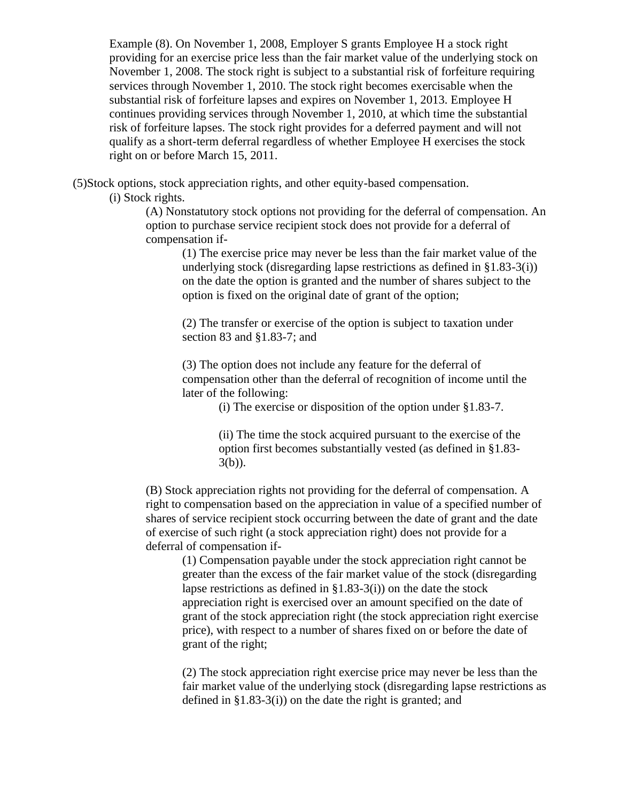Example (8). On November 1, 2008, Employer S grants Employee H a stock right providing for an exercise price less than the fair market value of the underlying stock on November 1, 2008. The stock right is subject to a substantial risk of forfeiture requiring services through November 1, 2010. The stock right becomes exercisable when the substantial risk of forfeiture lapses and expires on November 1, 2013. Employee H continues providing services through November 1, 2010, at which time the substantial risk of forfeiture lapses. The stock right provides for a deferred payment and will not qualify as a short-term deferral regardless of whether Employee H exercises the stock right on or before March 15, 2011.

(5)Stock options, stock appreciation rights, and other equity-based compensation.

(i) Stock rights.

(A) Nonstatutory stock options not providing for the deferral of compensation. An option to purchase service recipient stock does not provide for a deferral of compensation if-

(1) The exercise price may never be less than the fair market value of the underlying stock (disregarding lapse restrictions as defined in §1.83-3(i)) on the date the option is granted and the number of shares subject to the option is fixed on the original date of grant of the option;

(2) The transfer or exercise of the option is subject to taxation under section 83 and §1.83-7; and

(3) The option does not include any feature for the deferral of compensation other than the deferral of recognition of income until the later of the following:

(i) The exercise or disposition of the option under §1.83-7.

(ii) The time the stock acquired pursuant to the exercise of the option first becomes substantially vested (as defined in §1.83- 3(b)).

(B) Stock appreciation rights not providing for the deferral of compensation. A right to compensation based on the appreciation in value of a specified number of shares of service recipient stock occurring between the date of grant and the date of exercise of such right (a stock appreciation right) does not provide for a deferral of compensation if-

(1) Compensation payable under the stock appreciation right cannot be greater than the excess of the fair market value of the stock (disregarding lapse restrictions as defined in  $\S1.83-3(i)$  on the date the stock appreciation right is exercised over an amount specified on the date of grant of the stock appreciation right (the stock appreciation right exercise price), with respect to a number of shares fixed on or before the date of grant of the right;

(2) The stock appreciation right exercise price may never be less than the fair market value of the underlying stock (disregarding lapse restrictions as defined in §1.83-3(i)) on the date the right is granted; and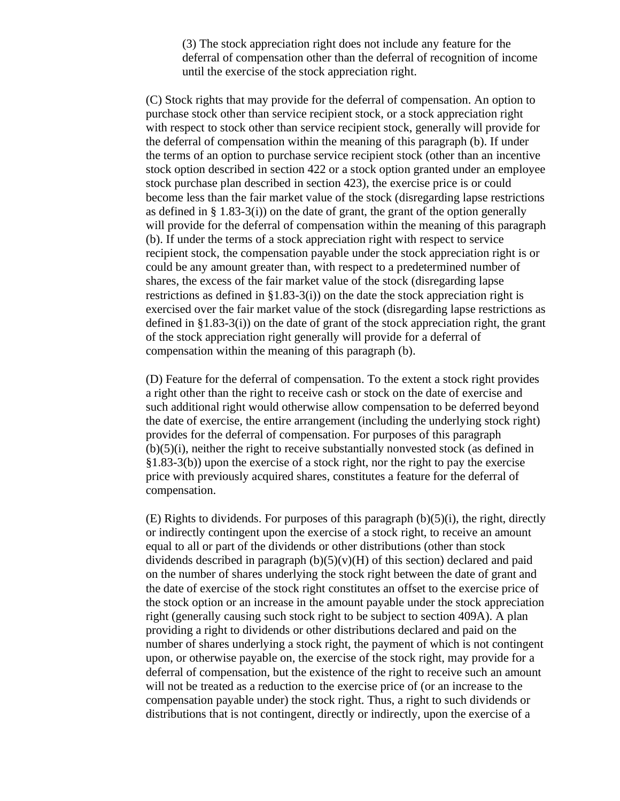(3) The stock appreciation right does not include any feature for the deferral of compensation other than the deferral of recognition of income until the exercise of the stock appreciation right.

(C) Stock rights that may provide for the deferral of compensation. An option to purchase stock other than service recipient stock, or a stock appreciation right with respect to stock other than service recipient stock, generally will provide for the deferral of compensation within the meaning of this paragraph (b). If under the terms of an option to purchase service recipient stock (other than an incentive stock option described in section 422 or a stock option granted under an employee stock purchase plan described in section 423), the exercise price is or could become less than the fair market value of the stock (disregarding lapse restrictions as defined in  $\S$  1.83-3(i)) on the date of grant, the grant of the option generally will provide for the deferral of compensation within the meaning of this paragraph (b). If under the terms of a stock appreciation right with respect to service recipient stock, the compensation payable under the stock appreciation right is or could be any amount greater than, with respect to a predetermined number of shares, the excess of the fair market value of the stock (disregarding lapse restrictions as defined in §1.83-3(i)) on the date the stock appreciation right is exercised over the fair market value of the stock (disregarding lapse restrictions as defined in §1.83-3(i)) on the date of grant of the stock appreciation right, the grant of the stock appreciation right generally will provide for a deferral of compensation within the meaning of this paragraph (b).

(D) Feature for the deferral of compensation. To the extent a stock right provides a right other than the right to receive cash or stock on the date of exercise and such additional right would otherwise allow compensation to be deferred beyond the date of exercise, the entire arrangement (including the underlying stock right) provides for the deferral of compensation. For purposes of this paragraph (b)(5)(i), neither the right to receive substantially nonvested stock (as defined in §1.83-3(b)) upon the exercise of a stock right, nor the right to pay the exercise price with previously acquired shares, constitutes a feature for the deferral of compensation.

 $(E)$  Rights to dividends. For purposes of this paragraph  $(b)(5)(i)$ , the right, directly or indirectly contingent upon the exercise of a stock right, to receive an amount equal to all or part of the dividends or other distributions (other than stock dividends described in paragraph  $(b)(5)(v)(H)$  of this section) declared and paid on the number of shares underlying the stock right between the date of grant and the date of exercise of the stock right constitutes an offset to the exercise price of the stock option or an increase in the amount payable under the stock appreciation right (generally causing such stock right to be subject to section 409A). A plan providing a right to dividends or other distributions declared and paid on the number of shares underlying a stock right, the payment of which is not contingent upon, or otherwise payable on, the exercise of the stock right, may provide for a deferral of compensation, but the existence of the right to receive such an amount will not be treated as a reduction to the exercise price of (or an increase to the compensation payable under) the stock right. Thus, a right to such dividends or distributions that is not contingent, directly or indirectly, upon the exercise of a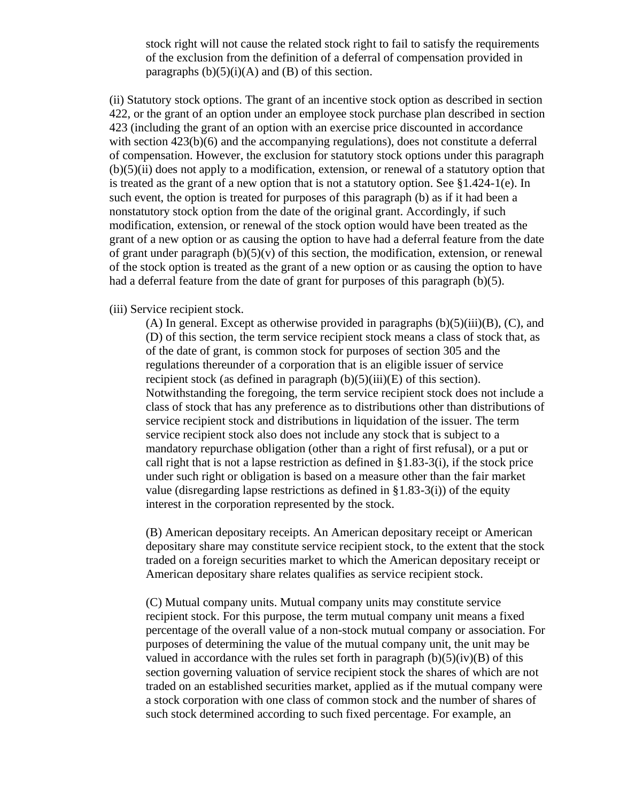stock right will not cause the related stock right to fail to satisfy the requirements of the exclusion from the definition of a deferral of compensation provided in paragraphs  $(b)(5)(i)(A)$  and  $(B)$  of this section.

(ii) Statutory stock options. The grant of an incentive stock option as described in section 422, or the grant of an option under an employee stock purchase plan described in section 423 (including the grant of an option with an exercise price discounted in accordance with section  $423(b)(6)$  and the accompanying regulations), does not constitute a deferral of compensation. However, the exclusion for statutory stock options under this paragraph  $(b)(5)(ii)$  does not apply to a modification, extension, or renewal of a statutory option that is treated as the grant of a new option that is not a statutory option. See §1.424-1(e). In such event, the option is treated for purposes of this paragraph (b) as if it had been a nonstatutory stock option from the date of the original grant. Accordingly, if such modification, extension, or renewal of the stock option would have been treated as the grant of a new option or as causing the option to have had a deferral feature from the date of grant under paragraph  $(b)(5)(v)$  of this section, the modification, extension, or renewal of the stock option is treated as the grant of a new option or as causing the option to have had a deferral feature from the date of grant for purposes of this paragraph  $(b)(5)$ .

#### (iii) Service recipient stock.

(A) In general. Except as otherwise provided in paragraphs  $(b)(5)(iii)(B)$ ,  $(C)$ , and (D) of this section, the term service recipient stock means a class of stock that, as of the date of grant, is common stock for purposes of section 305 and the regulations thereunder of a corporation that is an eligible issuer of service recipient stock (as defined in paragraph  $(b)(5)(iii)(E)$  of this section). Notwithstanding the foregoing, the term service recipient stock does not include a class of stock that has any preference as to distributions other than distributions of service recipient stock and distributions in liquidation of the issuer. The term service recipient stock also does not include any stock that is subject to a mandatory repurchase obligation (other than a right of first refusal), or a put or call right that is not a lapse restriction as defined in  $\S 1.83-3(i)$ , if the stock price under such right or obligation is based on a measure other than the fair market value (disregarding lapse restrictions as defined in  $\S 1.83-3(i)$ ) of the equity interest in the corporation represented by the stock.

(B) American depositary receipts. An American depositary receipt or American depositary share may constitute service recipient stock, to the extent that the stock traded on a foreign securities market to which the American depositary receipt or American depositary share relates qualifies as service recipient stock.

(C) Mutual company units. Mutual company units may constitute service recipient stock. For this purpose, the term mutual company unit means a fixed percentage of the overall value of a non-stock mutual company or association. For purposes of determining the value of the mutual company unit, the unit may be valued in accordance with the rules set forth in paragraph  $(b)(5)(iv)(B)$  of this section governing valuation of service recipient stock the shares of which are not traded on an established securities market, applied as if the mutual company were a stock corporation with one class of common stock and the number of shares of such stock determined according to such fixed percentage. For example, an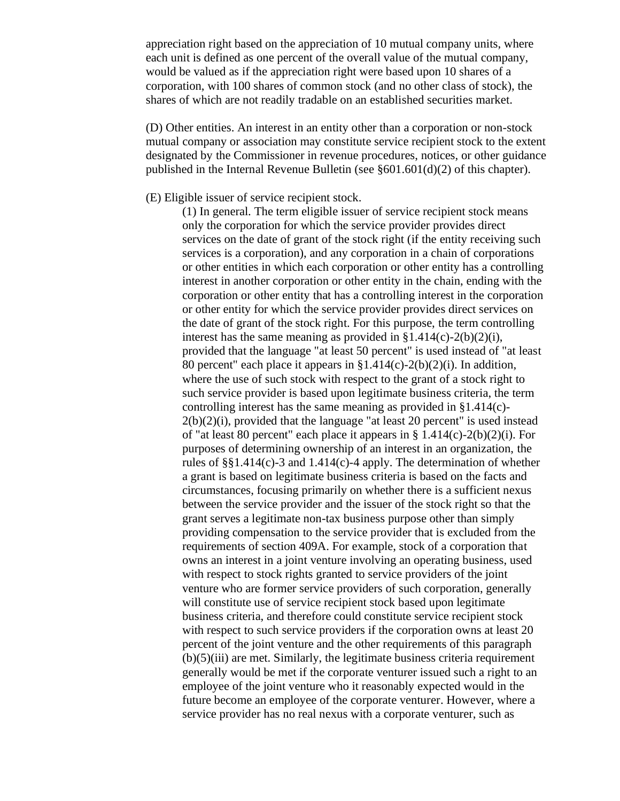appreciation right based on the appreciation of 10 mutual company units, where each unit is defined as one percent of the overall value of the mutual company, would be valued as if the appreciation right were based upon 10 shares of a corporation, with 100 shares of common stock (and no other class of stock), the shares of which are not readily tradable on an established securities market.

(D) Other entities. An interest in an entity other than a corporation or non-stock mutual company or association may constitute service recipient stock to the extent designated by the Commissioner in revenue procedures, notices, or other guidance published in the Internal Revenue Bulletin (see §601.601(d)(2) of this chapter).

## (E) Eligible issuer of service recipient stock.

(1) In general. The term eligible issuer of service recipient stock means only the corporation for which the service provider provides direct services on the date of grant of the stock right (if the entity receiving such services is a corporation), and any corporation in a chain of corporations or other entities in which each corporation or other entity has a controlling interest in another corporation or other entity in the chain, ending with the corporation or other entity that has a controlling interest in the corporation or other entity for which the service provider provides direct services on the date of grant of the stock right. For this purpose, the term controlling interest has the same meaning as provided in  $$1.414(c)-2(b)(2)(i)$ , provided that the language "at least 50 percent" is used instead of "at least 80 percent" each place it appears in  $$1.414(c)-2(b)(2)(i)$ . In addition, where the use of such stock with respect to the grant of a stock right to such service provider is based upon legitimate business criteria, the term controlling interest has the same meaning as provided in §1.414(c)-  $2(b)(2)(i)$ , provided that the language "at least 20 percent" is used instead of "at least 80 percent" each place it appears in  $\S 1.414(c) - 2(b)(2)(i)$ . For purposes of determining ownership of an interest in an organization, the rules of §§1.414(c)-3 and 1.414(c)-4 apply. The determination of whether a grant is based on legitimate business criteria is based on the facts and circumstances, focusing primarily on whether there is a sufficient nexus between the service provider and the issuer of the stock right so that the grant serves a legitimate non-tax business purpose other than simply providing compensation to the service provider that is excluded from the requirements of section 409A. For example, stock of a corporation that owns an interest in a joint venture involving an operating business, used with respect to stock rights granted to service providers of the joint venture who are former service providers of such corporation, generally will constitute use of service recipient stock based upon legitimate business criteria, and therefore could constitute service recipient stock with respect to such service providers if the corporation owns at least 20 percent of the joint venture and the other requirements of this paragraph  $(b)(5)(iii)$  are met. Similarly, the legitimate business criteria requirement generally would be met if the corporate venturer issued such a right to an employee of the joint venture who it reasonably expected would in the future become an employee of the corporate venturer. However, where a service provider has no real nexus with a corporate venturer, such as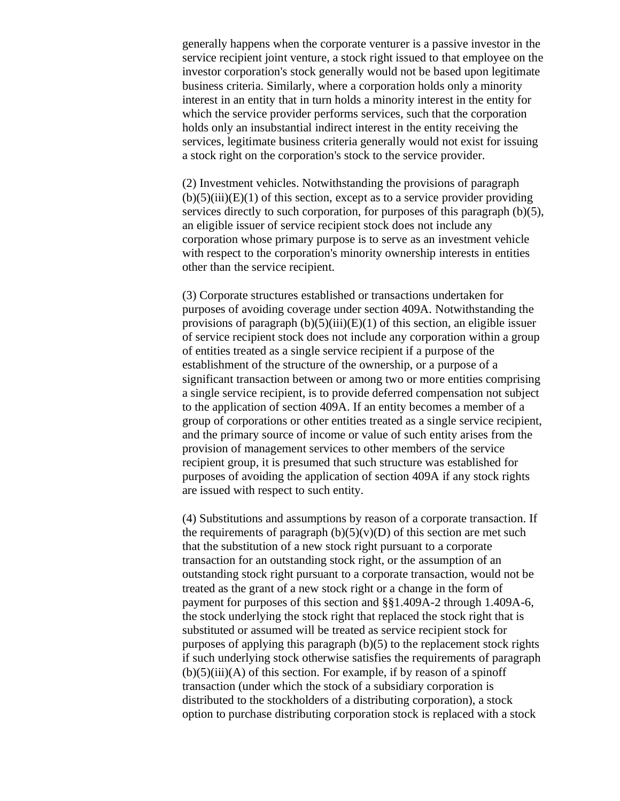generally happens when the corporate venturer is a passive investor in the service recipient joint venture, a stock right issued to that employee on the investor corporation's stock generally would not be based upon legitimate business criteria. Similarly, where a corporation holds only a minority interest in an entity that in turn holds a minority interest in the entity for which the service provider performs services, such that the corporation holds only an insubstantial indirect interest in the entity receiving the services, legitimate business criteria generally would not exist for issuing a stock right on the corporation's stock to the service provider.

(2) Investment vehicles. Notwithstanding the provisions of paragraph  $(b)(5)(iii)(E)(1)$  of this section, except as to a service provider providing services directly to such corporation, for purposes of this paragraph (b)(5), an eligible issuer of service recipient stock does not include any corporation whose primary purpose is to serve as an investment vehicle with respect to the corporation's minority ownership interests in entities other than the service recipient.

(3) Corporate structures established or transactions undertaken for purposes of avoiding coverage under section 409A. Notwithstanding the provisions of paragraph  $(b)(5)(iii)(E)(1)$  of this section, an eligible issuer of service recipient stock does not include any corporation within a group of entities treated as a single service recipient if a purpose of the establishment of the structure of the ownership, or a purpose of a significant transaction between or among two or more entities comprising a single service recipient, is to provide deferred compensation not subject to the application of section 409A. If an entity becomes a member of a group of corporations or other entities treated as a single service recipient, and the primary source of income or value of such entity arises from the provision of management services to other members of the service recipient group, it is presumed that such structure was established for purposes of avoiding the application of section 409A if any stock rights are issued with respect to such entity.

(4) Substitutions and assumptions by reason of a corporate transaction. If the requirements of paragraph  $(b)(5)(v)(D)$  of this section are met such that the substitution of a new stock right pursuant to a corporate transaction for an outstanding stock right, or the assumption of an outstanding stock right pursuant to a corporate transaction, would not be treated as the grant of a new stock right or a change in the form of payment for purposes of this section and §§1.409A-2 through 1.409A-6, the stock underlying the stock right that replaced the stock right that is substituted or assumed will be treated as service recipient stock for purposes of applying this paragraph (b)(5) to the replacement stock rights if such underlying stock otherwise satisfies the requirements of paragraph  $(b)(5)(iii)(A)$  of this section. For example, if by reason of a spinoff transaction (under which the stock of a subsidiary corporation is distributed to the stockholders of a distributing corporation), a stock option to purchase distributing corporation stock is replaced with a stock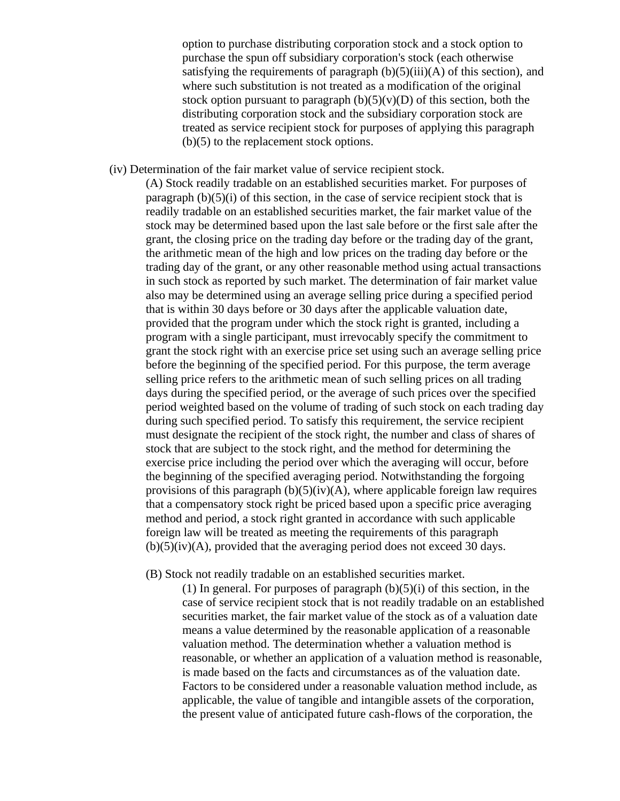option to purchase distributing corporation stock and a stock option to purchase the spun off subsidiary corporation's stock (each otherwise satisfying the requirements of paragraph  $(b)(5)(iii)(A)$  of this section), and where such substitution is not treated as a modification of the original stock option pursuant to paragraph  $(b)(5)(v)(D)$  of this section, both the distributing corporation stock and the subsidiary corporation stock are treated as service recipient stock for purposes of applying this paragraph (b)(5) to the replacement stock options.

(iv) Determination of the fair market value of service recipient stock.

(A) Stock readily tradable on an established securities market. For purposes of paragraph  $(b)(5)(i)$  of this section, in the case of service recipient stock that is readily tradable on an established securities market, the fair market value of the stock may be determined based upon the last sale before or the first sale after the grant, the closing price on the trading day before or the trading day of the grant, the arithmetic mean of the high and low prices on the trading day before or the trading day of the grant, or any other reasonable method using actual transactions in such stock as reported by such market. The determination of fair market value also may be determined using an average selling price during a specified period that is within 30 days before or 30 days after the applicable valuation date, provided that the program under which the stock right is granted, including a program with a single participant, must irrevocably specify the commitment to grant the stock right with an exercise price set using such an average selling price before the beginning of the specified period. For this purpose, the term average selling price refers to the arithmetic mean of such selling prices on all trading days during the specified period, or the average of such prices over the specified period weighted based on the volume of trading of such stock on each trading day during such specified period. To satisfy this requirement, the service recipient must designate the recipient of the stock right, the number and class of shares of stock that are subject to the stock right, and the method for determining the exercise price including the period over which the averaging will occur, before the beginning of the specified averaging period. Notwithstanding the forgoing provisions of this paragraph  $(b)(5)(iv)(A)$ , where applicable foreign law requires that a compensatory stock right be priced based upon a specific price averaging method and period, a stock right granted in accordance with such applicable foreign law will be treated as meeting the requirements of this paragraph  $(b)(5)(iv)(A)$ , provided that the averaging period does not exceed 30 days.

(B) Stock not readily tradable on an established securities market.

(1) In general. For purposes of paragraph  $(b)(5)(i)$  of this section, in the case of service recipient stock that is not readily tradable on an established securities market, the fair market value of the stock as of a valuation date means a value determined by the reasonable application of a reasonable valuation method. The determination whether a valuation method is reasonable, or whether an application of a valuation method is reasonable, is made based on the facts and circumstances as of the valuation date. Factors to be considered under a reasonable valuation method include, as applicable, the value of tangible and intangible assets of the corporation, the present value of anticipated future cash-flows of the corporation, the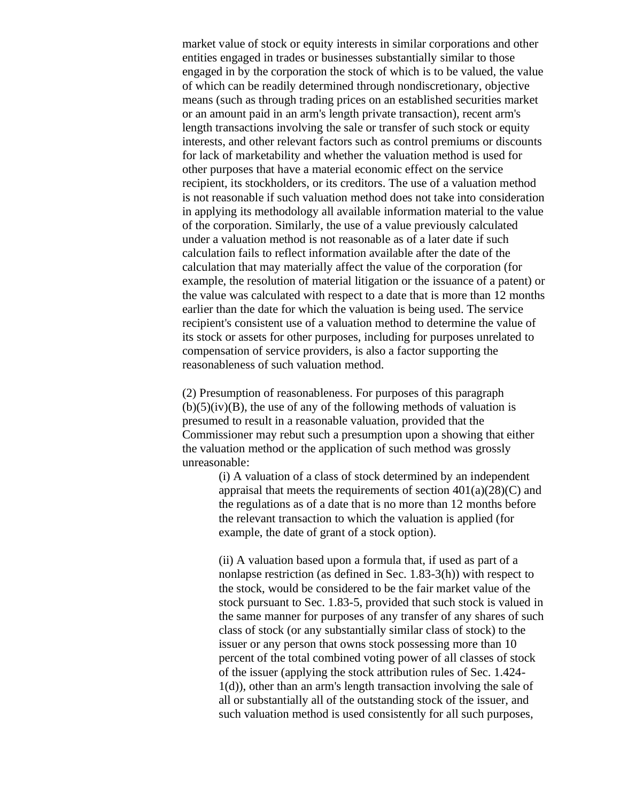market value of stock or equity interests in similar corporations and other entities engaged in trades or businesses substantially similar to those engaged in by the corporation the stock of which is to be valued, the value of which can be readily determined through nondiscretionary, objective means (such as through trading prices on an established securities market or an amount paid in an arm's length private transaction), recent arm's length transactions involving the sale or transfer of such stock or equity interests, and other relevant factors such as control premiums or discounts for lack of marketability and whether the valuation method is used for other purposes that have a material economic effect on the service recipient, its stockholders, or its creditors. The use of a valuation method is not reasonable if such valuation method does not take into consideration in applying its methodology all available information material to the value of the corporation. Similarly, the use of a value previously calculated under a valuation method is not reasonable as of a later date if such calculation fails to reflect information available after the date of the calculation that may materially affect the value of the corporation (for example, the resolution of material litigation or the issuance of a patent) or the value was calculated with respect to a date that is more than 12 months earlier than the date for which the valuation is being used. The service recipient's consistent use of a valuation method to determine the value of its stock or assets for other purposes, including for purposes unrelated to compensation of service providers, is also a factor supporting the reasonableness of such valuation method.

(2) Presumption of reasonableness. For purposes of this paragraph  $(b)(5)(iv)(B)$ , the use of any of the following methods of valuation is presumed to result in a reasonable valuation, provided that the Commissioner may rebut such a presumption upon a showing that either the valuation method or the application of such method was grossly unreasonable:

> (i) A valuation of a class of stock determined by an independent appraisal that meets the requirements of section  $401(a)(28)(C)$  and the regulations as of a date that is no more than 12 months before the relevant transaction to which the valuation is applied (for example, the date of grant of a stock option).

> (ii) A valuation based upon a formula that, if used as part of a nonlapse restriction (as defined in Sec. 1.83-3(h)) with respect to the stock, would be considered to be the fair market value of the stock pursuant to Sec. 1.83-5, provided that such stock is valued in the same manner for purposes of any transfer of any shares of such class of stock (or any substantially similar class of stock) to the issuer or any person that owns stock possessing more than 10 percent of the total combined voting power of all classes of stock of the issuer (applying the stock attribution rules of Sec. 1.424- 1(d)), other than an arm's length transaction involving the sale of all or substantially all of the outstanding stock of the issuer, and such valuation method is used consistently for all such purposes,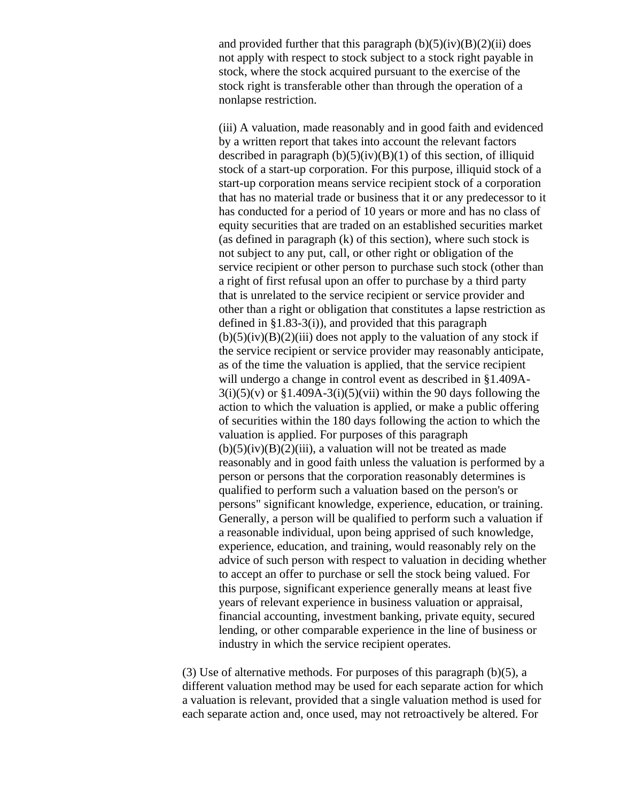and provided further that this paragraph  $(b)(5)(iv)(B)(2)(ii)$  does not apply with respect to stock subject to a stock right payable in stock, where the stock acquired pursuant to the exercise of the stock right is transferable other than through the operation of a nonlapse restriction.

(iii) A valuation, made reasonably and in good faith and evidenced by a written report that takes into account the relevant factors described in paragraph  $(b)(5)(iv)(B)(1)$  of this section, of illiquid stock of a start-up corporation. For this purpose, illiquid stock of a start-up corporation means service recipient stock of a corporation that has no material trade or business that it or any predecessor to it has conducted for a period of 10 years or more and has no class of equity securities that are traded on an established securities market (as defined in paragraph (k) of this section), where such stock is not subject to any put, call, or other right or obligation of the service recipient or other person to purchase such stock (other than a right of first refusal upon an offer to purchase by a third party that is unrelated to the service recipient or service provider and other than a right or obligation that constitutes a lapse restriction as defined in §1.83-3(i)), and provided that this paragraph  $(b)(5)(iv)(B)(2)(iii)$  does not apply to the valuation of any stock if the service recipient or service provider may reasonably anticipate, as of the time the valuation is applied, that the service recipient will undergo a change in control event as described in §1.409A- $3(i)(5)(v)$  or  $$1.409A-3(i)(5)(vii)$  within the 90 days following the action to which the valuation is applied, or make a public offering of securities within the 180 days following the action to which the valuation is applied. For purposes of this paragraph  $(b)(5)(iv)(B)(2)(iii)$ , a valuation will not be treated as made reasonably and in good faith unless the valuation is performed by a person or persons that the corporation reasonably determines is qualified to perform such a valuation based on the person's or persons" significant knowledge, experience, education, or training. Generally, a person will be qualified to perform such a valuation if a reasonable individual, upon being apprised of such knowledge, experience, education, and training, would reasonably rely on the advice of such person with respect to valuation in deciding whether to accept an offer to purchase or sell the stock being valued. For this purpose, significant experience generally means at least five years of relevant experience in business valuation or appraisal, financial accounting, investment banking, private equity, secured lending, or other comparable experience in the line of business or industry in which the service recipient operates.

(3) Use of alternative methods. For purposes of this paragraph (b)(5), a different valuation method may be used for each separate action for which a valuation is relevant, provided that a single valuation method is used for each separate action and, once used, may not retroactively be altered. For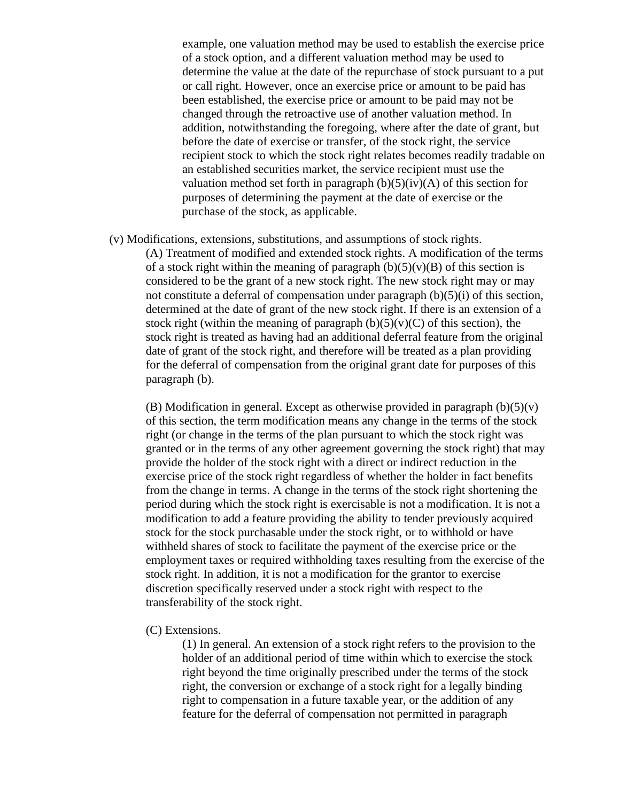example, one valuation method may be used to establish the exercise price of a stock option, and a different valuation method may be used to determine the value at the date of the repurchase of stock pursuant to a put or call right. However, once an exercise price or amount to be paid has been established, the exercise price or amount to be paid may not be changed through the retroactive use of another valuation method. In addition, notwithstanding the foregoing, where after the date of grant, but before the date of exercise or transfer, of the stock right, the service recipient stock to which the stock right relates becomes readily tradable on an established securities market, the service recipient must use the valuation method set forth in paragraph  $(b)(5)(iv)(A)$  of this section for purposes of determining the payment at the date of exercise or the purchase of the stock, as applicable.

(v) Modifications, extensions, substitutions, and assumptions of stock rights.

(A) Treatment of modified and extended stock rights. A modification of the terms of a stock right within the meaning of paragraph  $(b)(5)(v)(B)$  of this section is considered to be the grant of a new stock right. The new stock right may or may not constitute a deferral of compensation under paragraph (b)(5)(i) of this section, determined at the date of grant of the new stock right. If there is an extension of a stock right (within the meaning of paragraph  $(b)(5)(v)(C)$  of this section), the stock right is treated as having had an additional deferral feature from the original date of grant of the stock right, and therefore will be treated as a plan providing for the deferral of compensation from the original grant date for purposes of this paragraph (b).

(B) Modification in general. Except as otherwise provided in paragraph  $(b)(5)(v)$ of this section, the term modification means any change in the terms of the stock right (or change in the terms of the plan pursuant to which the stock right was granted or in the terms of any other agreement governing the stock right) that may provide the holder of the stock right with a direct or indirect reduction in the exercise price of the stock right regardless of whether the holder in fact benefits from the change in terms. A change in the terms of the stock right shortening the period during which the stock right is exercisable is not a modification. It is not a modification to add a feature providing the ability to tender previously acquired stock for the stock purchasable under the stock right, or to withhold or have withheld shares of stock to facilitate the payment of the exercise price or the employment taxes or required withholding taxes resulting from the exercise of the stock right. In addition, it is not a modification for the grantor to exercise discretion specifically reserved under a stock right with respect to the transferability of the stock right.

(C) Extensions.

(1) In general. An extension of a stock right refers to the provision to the holder of an additional period of time within which to exercise the stock right beyond the time originally prescribed under the terms of the stock right, the conversion or exchange of a stock right for a legally binding right to compensation in a future taxable year, or the addition of any feature for the deferral of compensation not permitted in paragraph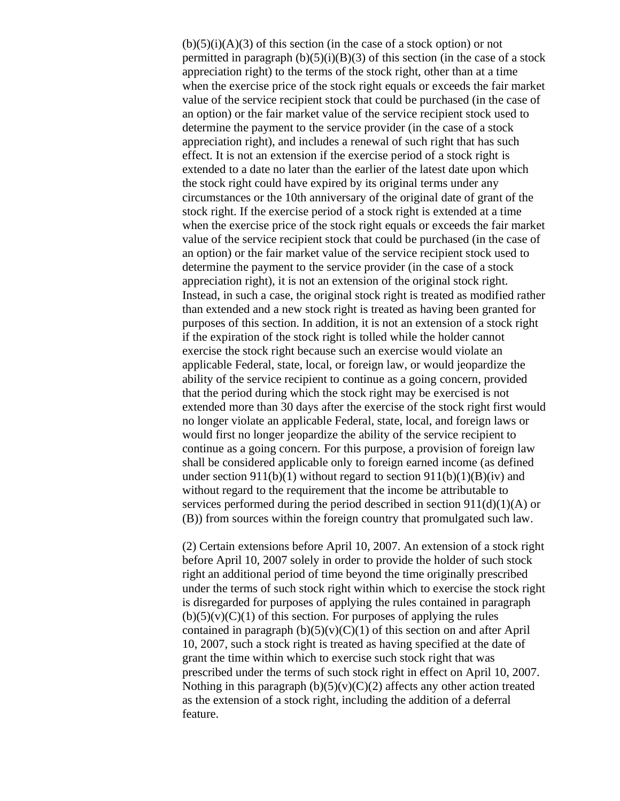$(b)(5)(i)(A)(3)$  of this section (in the case of a stock option) or not permitted in paragraph  $(b)(5)(i)(B)(3)$  of this section (in the case of a stock appreciation right) to the terms of the stock right, other than at a time when the exercise price of the stock right equals or exceeds the fair market value of the service recipient stock that could be purchased (in the case of an option) or the fair market value of the service recipient stock used to determine the payment to the service provider (in the case of a stock appreciation right), and includes a renewal of such right that has such effect. It is not an extension if the exercise period of a stock right is extended to a date no later than the earlier of the latest date upon which the stock right could have expired by its original terms under any circumstances or the 10th anniversary of the original date of grant of the stock right. If the exercise period of a stock right is extended at a time when the exercise price of the stock right equals or exceeds the fair market value of the service recipient stock that could be purchased (in the case of an option) or the fair market value of the service recipient stock used to determine the payment to the service provider (in the case of a stock appreciation right), it is not an extension of the original stock right. Instead, in such a case, the original stock right is treated as modified rather than extended and a new stock right is treated as having been granted for purposes of this section. In addition, it is not an extension of a stock right if the expiration of the stock right is tolled while the holder cannot exercise the stock right because such an exercise would violate an applicable Federal, state, local, or foreign law, or would jeopardize the ability of the service recipient to continue as a going concern, provided that the period during which the stock right may be exercised is not extended more than 30 days after the exercise of the stock right first would no longer violate an applicable Federal, state, local, and foreign laws or would first no longer jeopardize the ability of the service recipient to continue as a going concern. For this purpose, a provision of foreign law shall be considered applicable only to foreign earned income (as defined under section 911(b)(1) without regard to section 911(b)(1)(B)(iv) and without regard to the requirement that the income be attributable to services performed during the period described in section  $911(d)(1)(A)$  or (B)) from sources within the foreign country that promulgated such law.

(2) Certain extensions before April 10, 2007. An extension of a stock right before April 10, 2007 solely in order to provide the holder of such stock right an additional period of time beyond the time originally prescribed under the terms of such stock right within which to exercise the stock right is disregarded for purposes of applying the rules contained in paragraph  $(b)(5)(v)(C)(1)$  of this section. For purposes of applying the rules contained in paragraph  $(b)(5)(v)(C)(1)$  of this section on and after April 10, 2007, such a stock right is treated as having specified at the date of grant the time within which to exercise such stock right that was prescribed under the terms of such stock right in effect on April 10, 2007. Nothing in this paragraph  $(b)(5)(v)(C)(2)$  affects any other action treated as the extension of a stock right, including the addition of a deferral feature.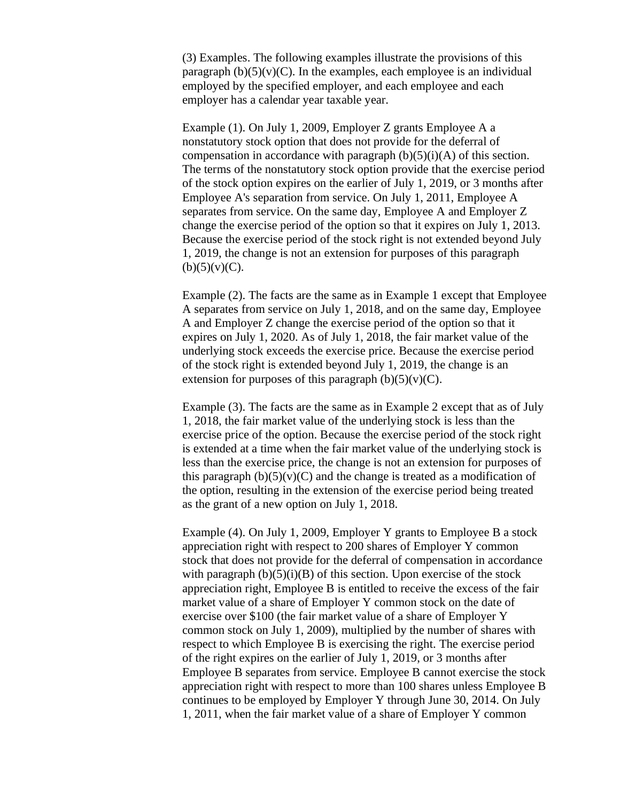(3) Examples. The following examples illustrate the provisions of this paragraph  $(b)(5)(v)(C)$ . In the examples, each employee is an individual employed by the specified employer, and each employee and each employer has a calendar year taxable year.

Example (1). On July 1, 2009, Employer Z grants Employee A a nonstatutory stock option that does not provide for the deferral of compensation in accordance with paragraph  $(b)(5)(i)(A)$  of this section. The terms of the nonstatutory stock option provide that the exercise period of the stock option expires on the earlier of July 1, 2019, or 3 months after Employee A's separation from service. On July 1, 2011, Employee A separates from service. On the same day, Employee A and Employer Z change the exercise period of the option so that it expires on July 1, 2013. Because the exercise period of the stock right is not extended beyond July 1, 2019, the change is not an extension for purposes of this paragraph  $(b)(5)(v)(C)$ .

Example (2). The facts are the same as in Example 1 except that Employee A separates from service on July 1, 2018, and on the same day, Employee A and Employer Z change the exercise period of the option so that it expires on July 1, 2020. As of July 1, 2018, the fair market value of the underlying stock exceeds the exercise price. Because the exercise period of the stock right is extended beyond July 1, 2019, the change is an extension for purposes of this paragraph  $(b)(5)(v)(C)$ .

Example (3). The facts are the same as in Example 2 except that as of July 1, 2018, the fair market value of the underlying stock is less than the exercise price of the option. Because the exercise period of the stock right is extended at a time when the fair market value of the underlying stock is less than the exercise price, the change is not an extension for purposes of this paragraph  $(b)(5)(v)(C)$  and the change is treated as a modification of the option, resulting in the extension of the exercise period being treated as the grant of a new option on July 1, 2018.

Example (4). On July 1, 2009, Employer Y grants to Employee B a stock appreciation right with respect to 200 shares of Employer Y common stock that does not provide for the deferral of compensation in accordance with paragraph  $(b)(5)(i)(B)$  of this section. Upon exercise of the stock appreciation right, Employee B is entitled to receive the excess of the fair market value of a share of Employer Y common stock on the date of exercise over \$100 (the fair market value of a share of Employer Y common stock on July 1, 2009), multiplied by the number of shares with respect to which Employee B is exercising the right. The exercise period of the right expires on the earlier of July 1, 2019, or 3 months after Employee B separates from service. Employee B cannot exercise the stock appreciation right with respect to more than 100 shares unless Employee B continues to be employed by Employer Y through June 30, 2014. On July 1, 2011, when the fair market value of a share of Employer Y common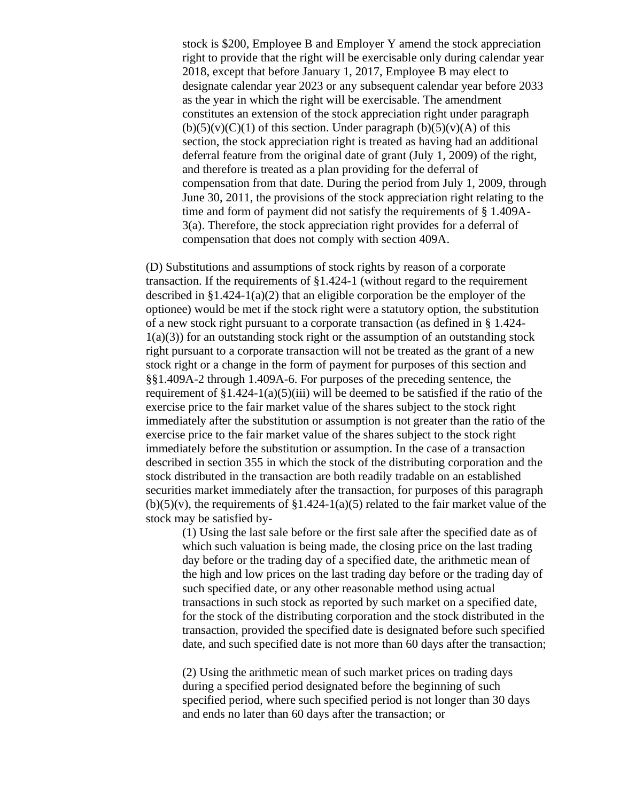stock is \$200, Employee B and Employer Y amend the stock appreciation right to provide that the right will be exercisable only during calendar year 2018, except that before January 1, 2017, Employee B may elect to designate calendar year 2023 or any subsequent calendar year before 2033 as the year in which the right will be exercisable. The amendment constitutes an extension of the stock appreciation right under paragraph  $(b)(5)(v)(C)(1)$  of this section. Under paragraph  $(b)(5)(v)(A)$  of this section, the stock appreciation right is treated as having had an additional deferral feature from the original date of grant (July 1, 2009) of the right, and therefore is treated as a plan providing for the deferral of compensation from that date. During the period from July 1, 2009, through June 30, 2011, the provisions of the stock appreciation right relating to the time and form of payment did not satisfy the requirements of § 1.409A-3(a). Therefore, the stock appreciation right provides for a deferral of compensation that does not comply with section 409A.

(D) Substitutions and assumptions of stock rights by reason of a corporate transaction. If the requirements of §1.424-1 (without regard to the requirement described in  $\S 1.424-1(a)(2)$  that an eligible corporation be the employer of the optionee) would be met if the stock right were a statutory option, the substitution of a new stock right pursuant to a corporate transaction (as defined in § 1.424-  $1(a)(3)$ ) for an outstanding stock right or the assumption of an outstanding stock right pursuant to a corporate transaction will not be treated as the grant of a new stock right or a change in the form of payment for purposes of this section and §§1.409A-2 through 1.409A-6. For purposes of the preceding sentence, the requirement of  $\S 1.424 - 1$ (a)(5)(iii) will be deemed to be satisfied if the ratio of the exercise price to the fair market value of the shares subject to the stock right immediately after the substitution or assumption is not greater than the ratio of the exercise price to the fair market value of the shares subject to the stock right immediately before the substitution or assumption. In the case of a transaction described in section 355 in which the stock of the distributing corporation and the stock distributed in the transaction are both readily tradable on an established securities market immediately after the transaction, for purposes of this paragraph  $(b)(5)(v)$ , the requirements of §1.424-1(a)(5) related to the fair market value of the stock may be satisfied by-

(1) Using the last sale before or the first sale after the specified date as of which such valuation is being made, the closing price on the last trading day before or the trading day of a specified date, the arithmetic mean of the high and low prices on the last trading day before or the trading day of such specified date, or any other reasonable method using actual transactions in such stock as reported by such market on a specified date, for the stock of the distributing corporation and the stock distributed in the transaction, provided the specified date is designated before such specified date, and such specified date is not more than 60 days after the transaction;

(2) Using the arithmetic mean of such market prices on trading days during a specified period designated before the beginning of such specified period, where such specified period is not longer than 30 days and ends no later than 60 days after the transaction; or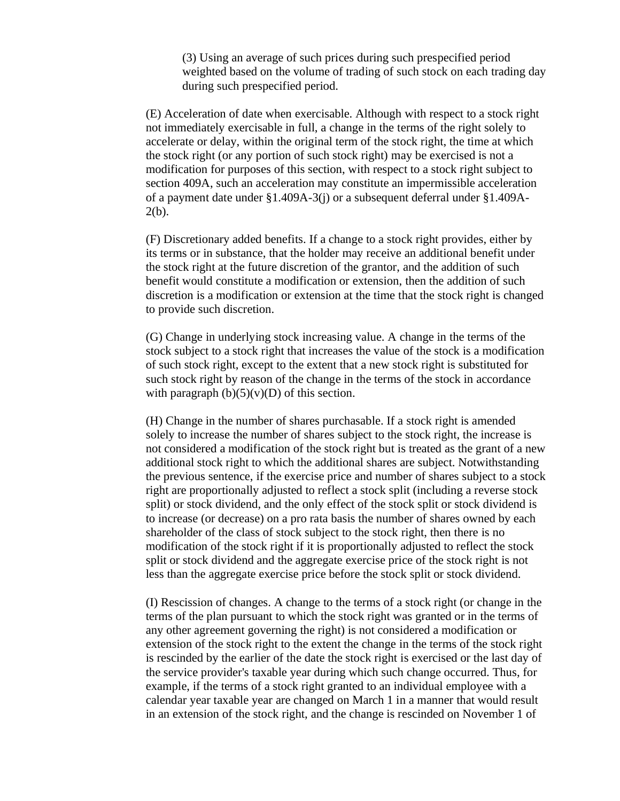(3) Using an average of such prices during such prespecified period weighted based on the volume of trading of such stock on each trading day during such prespecified period.

(E) Acceleration of date when exercisable. Although with respect to a stock right not immediately exercisable in full, a change in the terms of the right solely to accelerate or delay, within the original term of the stock right, the time at which the stock right (or any portion of such stock right) may be exercised is not a modification for purposes of this section, with respect to a stock right subject to section 409A, such an acceleration may constitute an impermissible acceleration of a payment date under §1.409A-3(j) or a subsequent deferral under §1.409A- $2(b)$ .

(F) Discretionary added benefits. If a change to a stock right provides, either by its terms or in substance, that the holder may receive an additional benefit under the stock right at the future discretion of the grantor, and the addition of such benefit would constitute a modification or extension, then the addition of such discretion is a modification or extension at the time that the stock right is changed to provide such discretion.

(G) Change in underlying stock increasing value. A change in the terms of the stock subject to a stock right that increases the value of the stock is a modification of such stock right, except to the extent that a new stock right is substituted for such stock right by reason of the change in the terms of the stock in accordance with paragraph  $(b)(5)(v)(D)$  of this section.

(H) Change in the number of shares purchasable. If a stock right is amended solely to increase the number of shares subject to the stock right, the increase is not considered a modification of the stock right but is treated as the grant of a new additional stock right to which the additional shares are subject. Notwithstanding the previous sentence, if the exercise price and number of shares subject to a stock right are proportionally adjusted to reflect a stock split (including a reverse stock split) or stock dividend, and the only effect of the stock split or stock dividend is to increase (or decrease) on a pro rata basis the number of shares owned by each shareholder of the class of stock subject to the stock right, then there is no modification of the stock right if it is proportionally adjusted to reflect the stock split or stock dividend and the aggregate exercise price of the stock right is not less than the aggregate exercise price before the stock split or stock dividend.

(I) Rescission of changes. A change to the terms of a stock right (or change in the terms of the plan pursuant to which the stock right was granted or in the terms of any other agreement governing the right) is not considered a modification or extension of the stock right to the extent the change in the terms of the stock right is rescinded by the earlier of the date the stock right is exercised or the last day of the service provider's taxable year during which such change occurred. Thus, for example, if the terms of a stock right granted to an individual employee with a calendar year taxable year are changed on March 1 in a manner that would result in an extension of the stock right, and the change is rescinded on November 1 of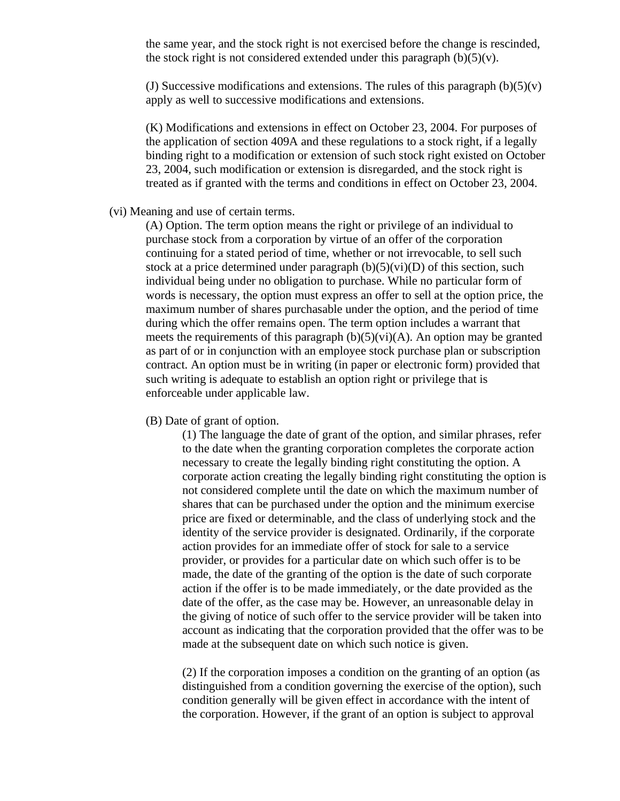the same year, and the stock right is not exercised before the change is rescinded, the stock right is not considered extended under this paragraph  $(b)(5)(v)$ .

(J) Successive modifications and extensions. The rules of this paragraph  $(b)(5)(v)$ apply as well to successive modifications and extensions.

(K) Modifications and extensions in effect on October 23, 2004. For purposes of the application of section 409A and these regulations to a stock right, if a legally binding right to a modification or extension of such stock right existed on October 23, 2004, such modification or extension is disregarded, and the stock right is treated as if granted with the terms and conditions in effect on October 23, 2004.

#### (vi) Meaning and use of certain terms.

(A) Option. The term option means the right or privilege of an individual to purchase stock from a corporation by virtue of an offer of the corporation continuing for a stated period of time, whether or not irrevocable, to sell such stock at a price determined under paragraph  $(b)(5)(vi)(D)$  of this section, such individual being under no obligation to purchase. While no particular form of words is necessary, the option must express an offer to sell at the option price, the maximum number of shares purchasable under the option, and the period of time during which the offer remains open. The term option includes a warrant that meets the requirements of this paragraph  $(b)(5)(vi)(A)$ . An option may be granted as part of or in conjunction with an employee stock purchase plan or subscription contract. An option must be in writing (in paper or electronic form) provided that such writing is adequate to establish an option right or privilege that is enforceable under applicable law.

(B) Date of grant of option.

(1) The language the date of grant of the option, and similar phrases, refer to the date when the granting corporation completes the corporate action necessary to create the legally binding right constituting the option. A corporate action creating the legally binding right constituting the option is not considered complete until the date on which the maximum number of shares that can be purchased under the option and the minimum exercise price are fixed or determinable, and the class of underlying stock and the identity of the service provider is designated. Ordinarily, if the corporate action provides for an immediate offer of stock for sale to a service provider, or provides for a particular date on which such offer is to be made, the date of the granting of the option is the date of such corporate action if the offer is to be made immediately, or the date provided as the date of the offer, as the case may be. However, an unreasonable delay in the giving of notice of such offer to the service provider will be taken into account as indicating that the corporation provided that the offer was to be made at the subsequent date on which such notice is given.

(2) If the corporation imposes a condition on the granting of an option (as distinguished from a condition governing the exercise of the option), such condition generally will be given effect in accordance with the intent of the corporation. However, if the grant of an option is subject to approval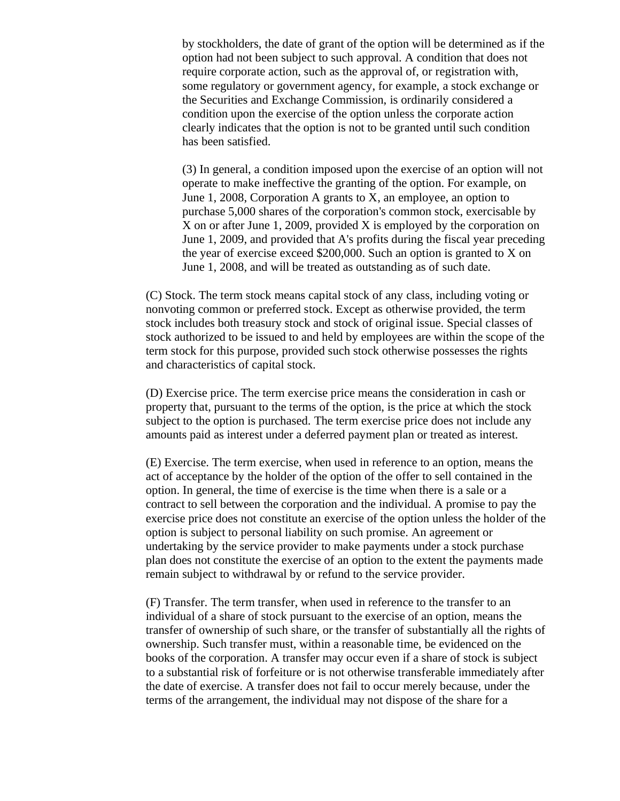by stockholders, the date of grant of the option will be determined as if the option had not been subject to such approval. A condition that does not require corporate action, such as the approval of, or registration with, some regulatory or government agency, for example, a stock exchange or the Securities and Exchange Commission, is ordinarily considered a condition upon the exercise of the option unless the corporate action clearly indicates that the option is not to be granted until such condition has been satisfied.

(3) In general, a condition imposed upon the exercise of an option will not operate to make ineffective the granting of the option. For example, on June 1, 2008, Corporation A grants to X, an employee, an option to purchase 5,000 shares of the corporation's common stock, exercisable by X on or after June 1, 2009, provided X is employed by the corporation on June 1, 2009, and provided that A's profits during the fiscal year preceding the year of exercise exceed \$200,000. Such an option is granted to X on June 1, 2008, and will be treated as outstanding as of such date.

(C) Stock. The term stock means capital stock of any class, including voting or nonvoting common or preferred stock. Except as otherwise provided, the term stock includes both treasury stock and stock of original issue. Special classes of stock authorized to be issued to and held by employees are within the scope of the term stock for this purpose, provided such stock otherwise possesses the rights and characteristics of capital stock.

(D) Exercise price. The term exercise price means the consideration in cash or property that, pursuant to the terms of the option, is the price at which the stock subject to the option is purchased. The term exercise price does not include any amounts paid as interest under a deferred payment plan or treated as interest.

(E) Exercise. The term exercise, when used in reference to an option, means the act of acceptance by the holder of the option of the offer to sell contained in the option. In general, the time of exercise is the time when there is a sale or a contract to sell between the corporation and the individual. A promise to pay the exercise price does not constitute an exercise of the option unless the holder of the option is subject to personal liability on such promise. An agreement or undertaking by the service provider to make payments under a stock purchase plan does not constitute the exercise of an option to the extent the payments made remain subject to withdrawal by or refund to the service provider.

(F) Transfer. The term transfer, when used in reference to the transfer to an individual of a share of stock pursuant to the exercise of an option, means the transfer of ownership of such share, or the transfer of substantially all the rights of ownership. Such transfer must, within a reasonable time, be evidenced on the books of the corporation. A transfer may occur even if a share of stock is subject to a substantial risk of forfeiture or is not otherwise transferable immediately after the date of exercise. A transfer does not fail to occur merely because, under the terms of the arrangement, the individual may not dispose of the share for a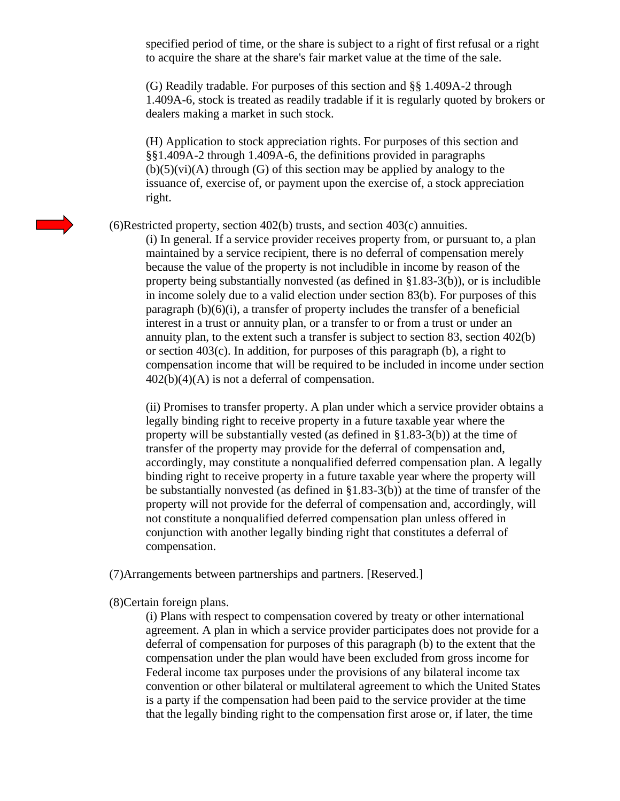specified period of time, or the share is subject to a right of first refusal or a right to acquire the share at the share's fair market value at the time of the sale.

(G) Readily tradable. For purposes of this section and §§ 1.409A-2 through 1.409A-6, stock is treated as readily tradable if it is regularly quoted by brokers or dealers making a market in such stock.

(H) Application to stock appreciation rights. For purposes of this section and §§1.409A-2 through 1.409A-6, the definitions provided in paragraphs  $(b)(5)(vi)(A)$  through  $(G)$  of this section may be applied by analogy to the issuance of, exercise of, or payment upon the exercise of, a stock appreciation right.

(6)Restricted property, section 402(b) trusts, and section 403(c) annuities.

(i) In general. If a service provider receives property from, or pursuant to, a plan maintained by a service recipient, there is no deferral of compensation merely because the value of the property is not includible in income by reason of the property being substantially nonvested (as defined in  $\S1.83-3(b)$ ), or is includible in income solely due to a valid election under section 83(b). For purposes of this paragraph  $(b)(6)(i)$ , a transfer of property includes the transfer of a beneficial interest in a trust or annuity plan, or a transfer to or from a trust or under an annuity plan, to the extent such a transfer is subject to section 83, section 402(b) or section 403(c). In addition, for purposes of this paragraph (b), a right to compensation income that will be required to be included in income under section 402(b)(4)(A) is not a deferral of compensation.

(ii) Promises to transfer property. A plan under which a service provider obtains a legally binding right to receive property in a future taxable year where the property will be substantially vested (as defined in §1.83-3(b)) at the time of transfer of the property may provide for the deferral of compensation and, accordingly, may constitute a nonqualified deferred compensation plan. A legally binding right to receive property in a future taxable year where the property will be substantially nonvested (as defined in §1.83-3(b)) at the time of transfer of the property will not provide for the deferral of compensation and, accordingly, will not constitute a nonqualified deferred compensation plan unless offered in conjunction with another legally binding right that constitutes a deferral of compensation.

(7)Arrangements between partnerships and partners. [Reserved.]

(8)Certain foreign plans.

(i) Plans with respect to compensation covered by treaty or other international agreement. A plan in which a service provider participates does not provide for a deferral of compensation for purposes of this paragraph (b) to the extent that the compensation under the plan would have been excluded from gross income for Federal income tax purposes under the provisions of any bilateral income tax convention or other bilateral or multilateral agreement to which the United States is a party if the compensation had been paid to the service provider at the time that the legally binding right to the compensation first arose or, if later, the time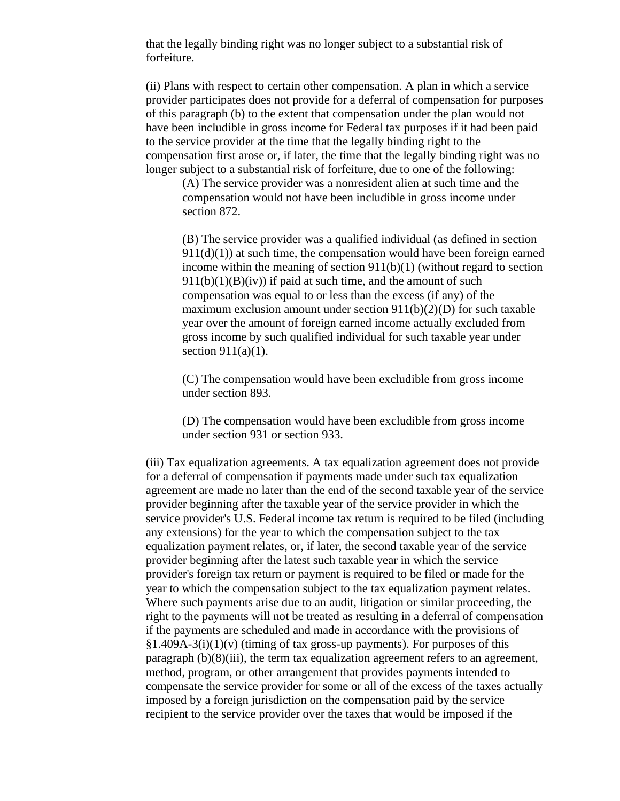that the legally binding right was no longer subject to a substantial risk of forfeiture.

(ii) Plans with respect to certain other compensation. A plan in which a service provider participates does not provide for a deferral of compensation for purposes of this paragraph (b) to the extent that compensation under the plan would not have been includible in gross income for Federal tax purposes if it had been paid to the service provider at the time that the legally binding right to the compensation first arose or, if later, the time that the legally binding right was no longer subject to a substantial risk of forfeiture, due to one of the following:

(A) The service provider was a nonresident alien at such time and the compensation would not have been includible in gross income under section 872.

(B) The service provider was a qualified individual (as defined in section  $911(d)(1)$ ) at such time, the compensation would have been foreign earned income within the meaning of section  $911(b)(1)$  (without regard to section  $911(b)(1)(B)(iv)$  if paid at such time, and the amount of such compensation was equal to or less than the excess (if any) of the maximum exclusion amount under section  $911(b)(2)(D)$  for such taxable year over the amount of foreign earned income actually excluded from gross income by such qualified individual for such taxable year under section  $911(a)(1)$ .

(C) The compensation would have been excludible from gross income under section 893.

(D) The compensation would have been excludible from gross income under section 931 or section 933.

(iii) Tax equalization agreements. A tax equalization agreement does not provide for a deferral of compensation if payments made under such tax equalization agreement are made no later than the end of the second taxable year of the service provider beginning after the taxable year of the service provider in which the service provider's U.S. Federal income tax return is required to be filed (including any extensions) for the year to which the compensation subject to the tax equalization payment relates, or, if later, the second taxable year of the service provider beginning after the latest such taxable year in which the service provider's foreign tax return or payment is required to be filed or made for the year to which the compensation subject to the tax equalization payment relates. Where such payments arise due to an audit, litigation or similar proceeding, the right to the payments will not be treated as resulting in a deferral of compensation if the payments are scheduled and made in accordance with the provisions of  $§1.409A-3(i)(1)(v)$  (timing of tax gross-up payments). For purposes of this paragraph (b)(8)(iii), the term tax equalization agreement refers to an agreement, method, program, or other arrangement that provides payments intended to compensate the service provider for some or all of the excess of the taxes actually imposed by a foreign jurisdiction on the compensation paid by the service recipient to the service provider over the taxes that would be imposed if the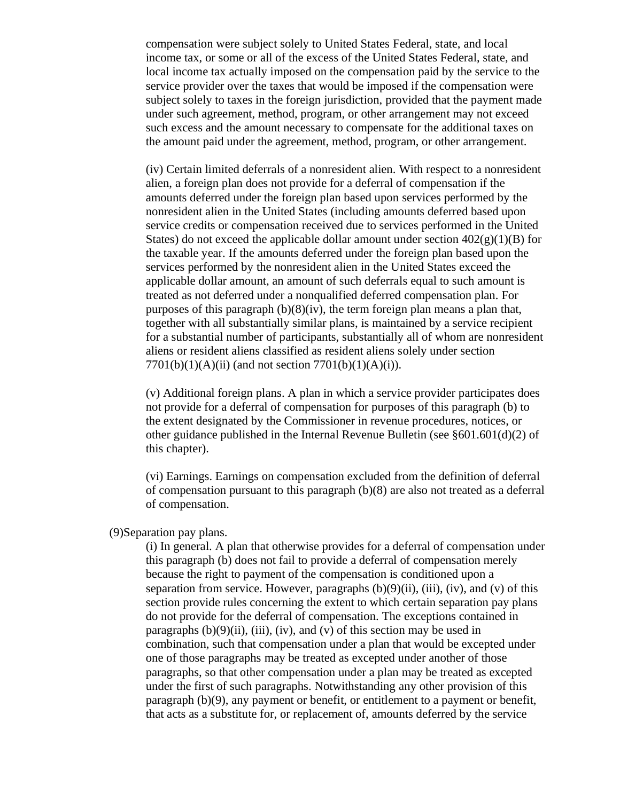compensation were subject solely to United States Federal, state, and local income tax, or some or all of the excess of the United States Federal, state, and local income tax actually imposed on the compensation paid by the service to the service provider over the taxes that would be imposed if the compensation were subject solely to taxes in the foreign jurisdiction, provided that the payment made under such agreement, method, program, or other arrangement may not exceed such excess and the amount necessary to compensate for the additional taxes on the amount paid under the agreement, method, program, or other arrangement.

(iv) Certain limited deferrals of a nonresident alien. With respect to a nonresident alien, a foreign plan does not provide for a deferral of compensation if the amounts deferred under the foreign plan based upon services performed by the nonresident alien in the United States (including amounts deferred based upon service credits or compensation received due to services performed in the United States) do not exceed the applicable dollar amount under section  $402(g)(1)(B)$  for the taxable year. If the amounts deferred under the foreign plan based upon the services performed by the nonresident alien in the United States exceed the applicable dollar amount, an amount of such deferrals equal to such amount is treated as not deferred under a nonqualified deferred compensation plan. For purposes of this paragraph  $(b)(8)(iv)$ , the term foreign plan means a plan that, together with all substantially similar plans, is maintained by a service recipient for a substantial number of participants, substantially all of whom are nonresident aliens or resident aliens classified as resident aliens solely under section  $7701(b)(1)(A)(ii)$  (and not section  $7701(b)(1)(A)(i)$ ).

(v) Additional foreign plans. A plan in which a service provider participates does not provide for a deferral of compensation for purposes of this paragraph (b) to the extent designated by the Commissioner in revenue procedures, notices, or other guidance published in the Internal Revenue Bulletin (see §601.601(d)(2) of this chapter).

(vi) Earnings. Earnings on compensation excluded from the definition of deferral of compensation pursuant to this paragraph (b)(8) are also not treated as a deferral of compensation.

#### (9)Separation pay plans.

(i) In general. A plan that otherwise provides for a deferral of compensation under this paragraph (b) does not fail to provide a deferral of compensation merely because the right to payment of the compensation is conditioned upon a separation from service. However, paragraphs  $(b)(9)(ii)$ ,  $(iii)$ ,  $(iv)$ , and  $(v)$  of this section provide rules concerning the extent to which certain separation pay plans do not provide for the deferral of compensation. The exceptions contained in paragraphs  $(b)(9)(ii)$ ,  $(iii)$ ,  $(iv)$ , and  $(v)$  of this section may be used in combination, such that compensation under a plan that would be excepted under one of those paragraphs may be treated as excepted under another of those paragraphs, so that other compensation under a plan may be treated as excepted under the first of such paragraphs. Notwithstanding any other provision of this paragraph (b)(9), any payment or benefit, or entitlement to a payment or benefit, that acts as a substitute for, or replacement of, amounts deferred by the service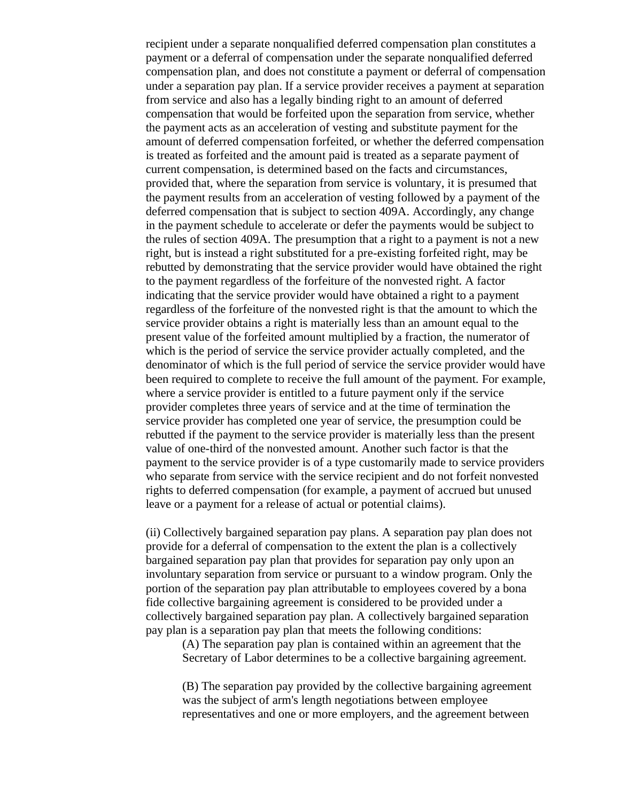recipient under a separate nonqualified deferred compensation plan constitutes a payment or a deferral of compensation under the separate nonqualified deferred compensation plan, and does not constitute a payment or deferral of compensation under a separation pay plan. If a service provider receives a payment at separation from service and also has a legally binding right to an amount of deferred compensation that would be forfeited upon the separation from service, whether the payment acts as an acceleration of vesting and substitute payment for the amount of deferred compensation forfeited, or whether the deferred compensation is treated as forfeited and the amount paid is treated as a separate payment of current compensation, is determined based on the facts and circumstances, provided that, where the separation from service is voluntary, it is presumed that the payment results from an acceleration of vesting followed by a payment of the deferred compensation that is subject to section 409A. Accordingly, any change in the payment schedule to accelerate or defer the payments would be subject to the rules of section 409A. The presumption that a right to a payment is not a new right, but is instead a right substituted for a pre-existing forfeited right, may be rebutted by demonstrating that the service provider would have obtained the right to the payment regardless of the forfeiture of the nonvested right. A factor indicating that the service provider would have obtained a right to a payment regardless of the forfeiture of the nonvested right is that the amount to which the service provider obtains a right is materially less than an amount equal to the present value of the forfeited amount multiplied by a fraction, the numerator of which is the period of service the service provider actually completed, and the denominator of which is the full period of service the service provider would have been required to complete to receive the full amount of the payment. For example, where a service provider is entitled to a future payment only if the service provider completes three years of service and at the time of termination the service provider has completed one year of service, the presumption could be rebutted if the payment to the service provider is materially less than the present value of one-third of the nonvested amount. Another such factor is that the payment to the service provider is of a type customarily made to service providers who separate from service with the service recipient and do not forfeit nonvested rights to deferred compensation (for example, a payment of accrued but unused leave or a payment for a release of actual or potential claims).

(ii) Collectively bargained separation pay plans. A separation pay plan does not provide for a deferral of compensation to the extent the plan is a collectively bargained separation pay plan that provides for separation pay only upon an involuntary separation from service or pursuant to a window program. Only the portion of the separation pay plan attributable to employees covered by a bona fide collective bargaining agreement is considered to be provided under a collectively bargained separation pay plan. A collectively bargained separation pay plan is a separation pay plan that meets the following conditions:

(A) The separation pay plan is contained within an agreement that the Secretary of Labor determines to be a collective bargaining agreement.

(B) The separation pay provided by the collective bargaining agreement was the subject of arm's length negotiations between employee representatives and one or more employers, and the agreement between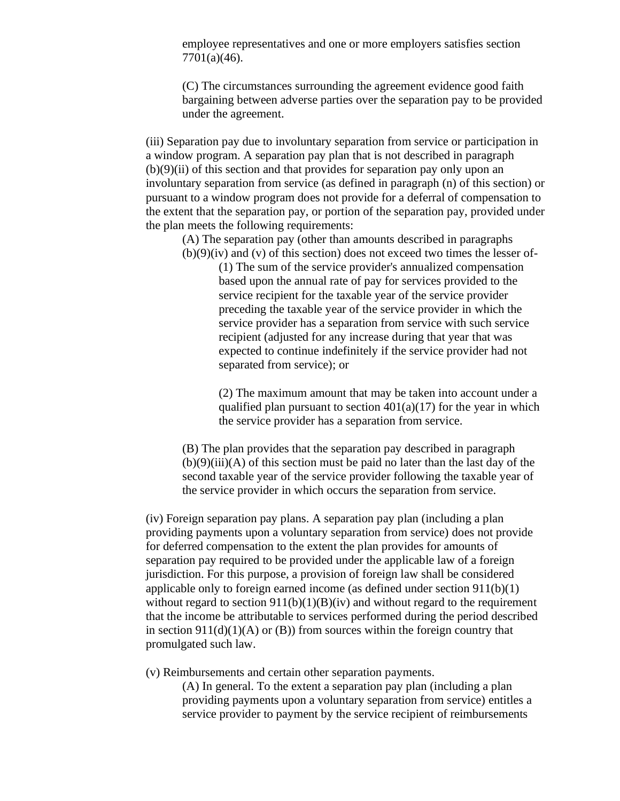employee representatives and one or more employers satisfies section 7701(a)(46).

(C) The circumstances surrounding the agreement evidence good faith bargaining between adverse parties over the separation pay to be provided under the agreement.

(iii) Separation pay due to involuntary separation from service or participation in a window program. A separation pay plan that is not described in paragraph  $(b)(9)(ii)$  of this section and that provides for separation pay only upon an involuntary separation from service (as defined in paragraph (n) of this section) or pursuant to a window program does not provide for a deferral of compensation to the extent that the separation pay, or portion of the separation pay, provided under the plan meets the following requirements:

(A) The separation pay (other than amounts described in paragraphs  $(b)(9)(iv)$  and  $(v)$  of this section) does not exceed two times the lesser of-

> (1) The sum of the service provider's annualized compensation based upon the annual rate of pay for services provided to the service recipient for the taxable year of the service provider preceding the taxable year of the service provider in which the service provider has a separation from service with such service recipient (adjusted for any increase during that year that was expected to continue indefinitely if the service provider had not separated from service); or

(2) The maximum amount that may be taken into account under a qualified plan pursuant to section  $401(a)(17)$  for the year in which the service provider has a separation from service.

(B) The plan provides that the separation pay described in paragraph  $(b)(9)(iii)(A)$  of this section must be paid no later than the last day of the second taxable year of the service provider following the taxable year of the service provider in which occurs the separation from service.

(iv) Foreign separation pay plans. A separation pay plan (including a plan providing payments upon a voluntary separation from service) does not provide for deferred compensation to the extent the plan provides for amounts of separation pay required to be provided under the applicable law of a foreign jurisdiction. For this purpose, a provision of foreign law shall be considered applicable only to foreign earned income (as defined under section 911(b)(1) without regard to section  $911(b)(1)(B)(iv)$  and without regard to the requirement that the income be attributable to services performed during the period described in section  $911(d)(1)(A)$  or (B)) from sources within the foreign country that promulgated such law.

(v) Reimbursements and certain other separation payments.

(A) In general. To the extent a separation pay plan (including a plan providing payments upon a voluntary separation from service) entitles a service provider to payment by the service recipient of reimbursements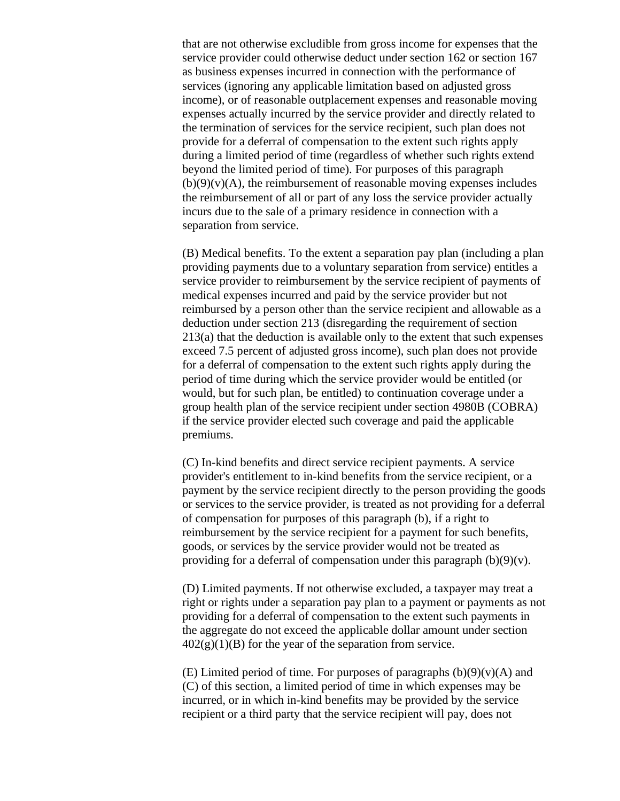that are not otherwise excludible from gross income for expenses that the service provider could otherwise deduct under section 162 or section 167 as business expenses incurred in connection with the performance of services (ignoring any applicable limitation based on adjusted gross income), or of reasonable outplacement expenses and reasonable moving expenses actually incurred by the service provider and directly related to the termination of services for the service recipient, such plan does not provide for a deferral of compensation to the extent such rights apply during a limited period of time (regardless of whether such rights extend beyond the limited period of time). For purposes of this paragraph  $(b)(9)(v)(A)$ , the reimbursement of reasonable moving expenses includes the reimbursement of all or part of any loss the service provider actually incurs due to the sale of a primary residence in connection with a separation from service.

(B) Medical benefits. To the extent a separation pay plan (including a plan providing payments due to a voluntary separation from service) entitles a service provider to reimbursement by the service recipient of payments of medical expenses incurred and paid by the service provider but not reimbursed by a person other than the service recipient and allowable as a deduction under section 213 (disregarding the requirement of section 213(a) that the deduction is available only to the extent that such expenses exceed 7.5 percent of adjusted gross income), such plan does not provide for a deferral of compensation to the extent such rights apply during the period of time during which the service provider would be entitled (or would, but for such plan, be entitled) to continuation coverage under a group health plan of the service recipient under section 4980B (COBRA) if the service provider elected such coverage and paid the applicable premiums.

(C) In-kind benefits and direct service recipient payments. A service provider's entitlement to in-kind benefits from the service recipient, or a payment by the service recipient directly to the person providing the goods or services to the service provider, is treated as not providing for a deferral of compensation for purposes of this paragraph (b), if a right to reimbursement by the service recipient for a payment for such benefits, goods, or services by the service provider would not be treated as providing for a deferral of compensation under this paragraph  $(b)(9)(v)$ .

(D) Limited payments. If not otherwise excluded, a taxpayer may treat a right or rights under a separation pay plan to a payment or payments as not providing for a deferral of compensation to the extent such payments in the aggregate do not exceed the applicable dollar amount under section  $402(g)(1)(B)$  for the year of the separation from service.

(E) Limited period of time. For purposes of paragraphs  $(b)(9)(v)(A)$  and (C) of this section, a limited period of time in which expenses may be incurred, or in which in-kind benefits may be provided by the service recipient or a third party that the service recipient will pay, does not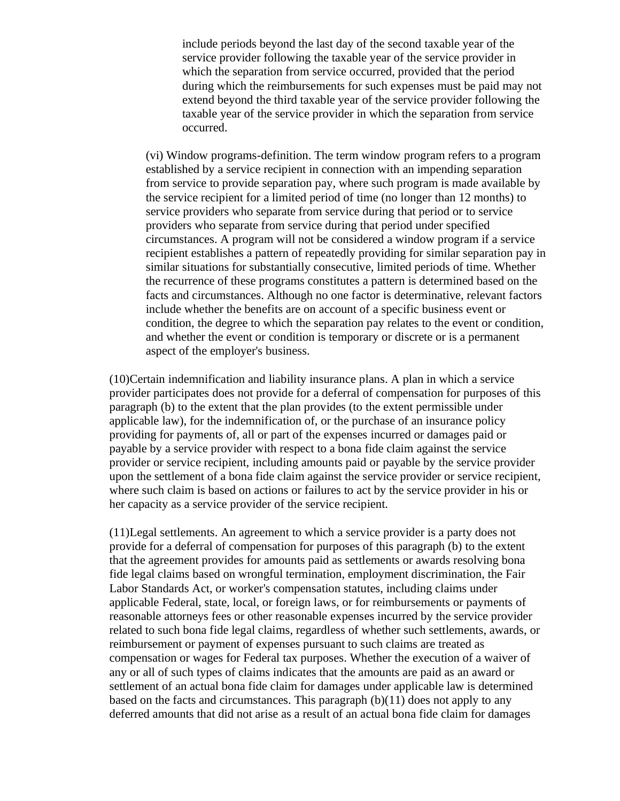include periods beyond the last day of the second taxable year of the service provider following the taxable year of the service provider in which the separation from service occurred, provided that the period during which the reimbursements for such expenses must be paid may not extend beyond the third taxable year of the service provider following the taxable year of the service provider in which the separation from service occurred.

(vi) Window programs-definition. The term window program refers to a program established by a service recipient in connection with an impending separation from service to provide separation pay, where such program is made available by the service recipient for a limited period of time (no longer than 12 months) to service providers who separate from service during that period or to service providers who separate from service during that period under specified circumstances. A program will not be considered a window program if a service recipient establishes a pattern of repeatedly providing for similar separation pay in similar situations for substantially consecutive, limited periods of time. Whether the recurrence of these programs constitutes a pattern is determined based on the facts and circumstances. Although no one factor is determinative, relevant factors include whether the benefits are on account of a specific business event or condition, the degree to which the separation pay relates to the event or condition, and whether the event or condition is temporary or discrete or is a permanent aspect of the employer's business.

(10)Certain indemnification and liability insurance plans. A plan in which a service provider participates does not provide for a deferral of compensation for purposes of this paragraph (b) to the extent that the plan provides (to the extent permissible under applicable law), for the indemnification of, or the purchase of an insurance policy providing for payments of, all or part of the expenses incurred or damages paid or payable by a service provider with respect to a bona fide claim against the service provider or service recipient, including amounts paid or payable by the service provider upon the settlement of a bona fide claim against the service provider or service recipient, where such claim is based on actions or failures to act by the service provider in his or her capacity as a service provider of the service recipient.

(11)Legal settlements. An agreement to which a service provider is a party does not provide for a deferral of compensation for purposes of this paragraph (b) to the extent that the agreement provides for amounts paid as settlements or awards resolving bona fide legal claims based on wrongful termination, employment discrimination, the Fair Labor Standards Act, or worker's compensation statutes, including claims under applicable Federal, state, local, or foreign laws, or for reimbursements or payments of reasonable attorneys fees or other reasonable expenses incurred by the service provider related to such bona fide legal claims, regardless of whether such settlements, awards, or reimbursement or payment of expenses pursuant to such claims are treated as compensation or wages for Federal tax purposes. Whether the execution of a waiver of any or all of such types of claims indicates that the amounts are paid as an award or settlement of an actual bona fide claim for damages under applicable law is determined based on the facts and circumstances. This paragraph (b)(11) does not apply to any deferred amounts that did not arise as a result of an actual bona fide claim for damages